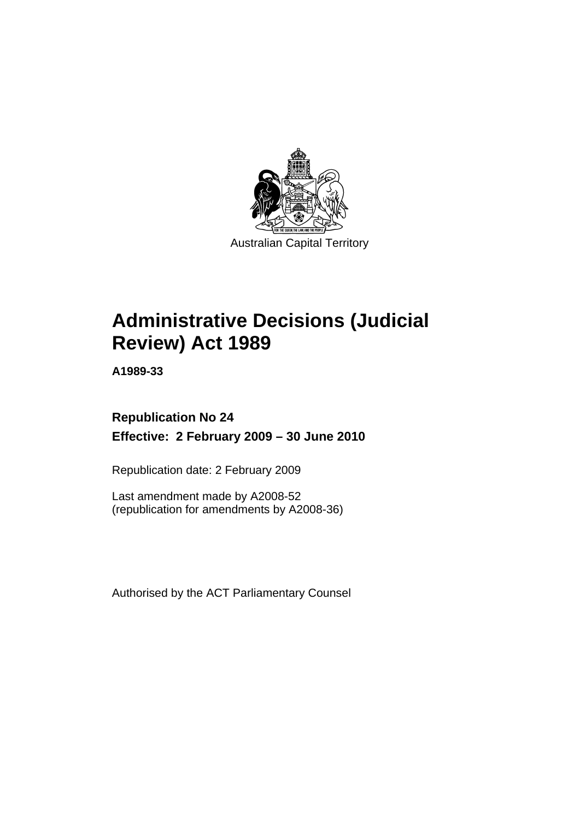

**[Administrative Decisions \(Judicial](#page-4-0)  [Review\) Act 1989](#page-4-0)** 

**A1989-33** 

# **Republication No 24 Effective: 2 February 2009 – 30 June 2010**

Republication date: 2 February 2009

Last amendment made by A2008-52 (republication for amendments by A2008-36)

Authorised by the ACT Parliamentary Counsel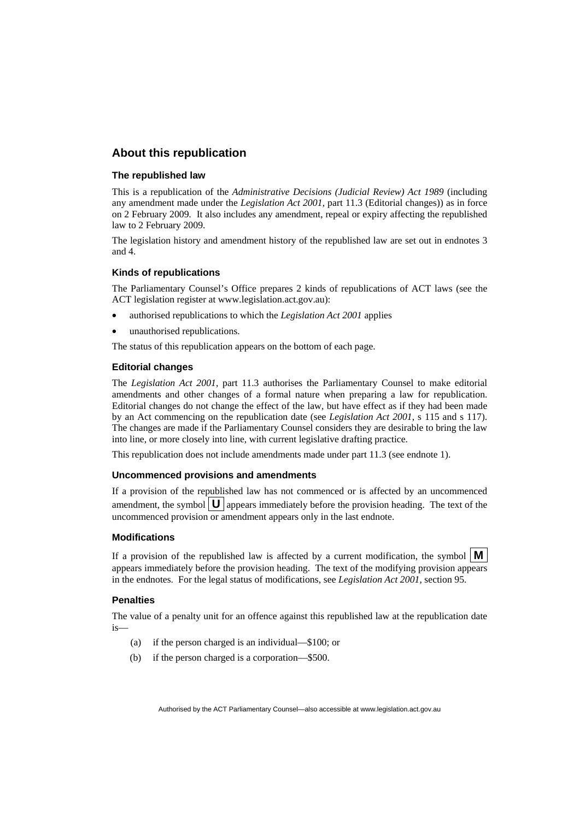## **About this republication**

#### **The republished law**

This is a republication of the *Administrative Decisions (Judicial Review) Act 1989* (including any amendment made under the *Legislation Act 2001*, part 11.3 (Editorial changes)) as in force on 2 February 2009*.* It also includes any amendment, repeal or expiry affecting the republished law to 2 February 2009.

The legislation history and amendment history of the republished law are set out in endnotes 3 and 4.

#### **Kinds of republications**

The Parliamentary Counsel's Office prepares 2 kinds of republications of ACT laws (see the ACT legislation register at www.legislation.act.gov.au):

- authorised republications to which the *Legislation Act 2001* applies
- unauthorised republications.

The status of this republication appears on the bottom of each page.

#### **Editorial changes**

The *Legislation Act 2001*, part 11.3 authorises the Parliamentary Counsel to make editorial amendments and other changes of a formal nature when preparing a law for republication. Editorial changes do not change the effect of the law, but have effect as if they had been made by an Act commencing on the republication date (see *Legislation Act 2001*, s 115 and s 117). The changes are made if the Parliamentary Counsel considers they are desirable to bring the law into line, or more closely into line, with current legislative drafting practice.

This republication does not include amendments made under part 11.3 (see endnote 1).

#### **Uncommenced provisions and amendments**

If a provision of the republished law has not commenced or is affected by an uncommenced amendment, the symbol  $\mathbf{U}$  appears immediately before the provision heading. The text of the uncommenced provision or amendment appears only in the last endnote.

#### **Modifications**

If a provision of the republished law is affected by a current modification, the symbol  $\mathbf{M}$ appears immediately before the provision heading. The text of the modifying provision appears in the endnotes. For the legal status of modifications, see *Legislation Act 2001*, section 95.

#### **Penalties**

The value of a penalty unit for an offence against this republished law at the republication date is—

- (a) if the person charged is an individual—\$100; or
- (b) if the person charged is a corporation—\$500.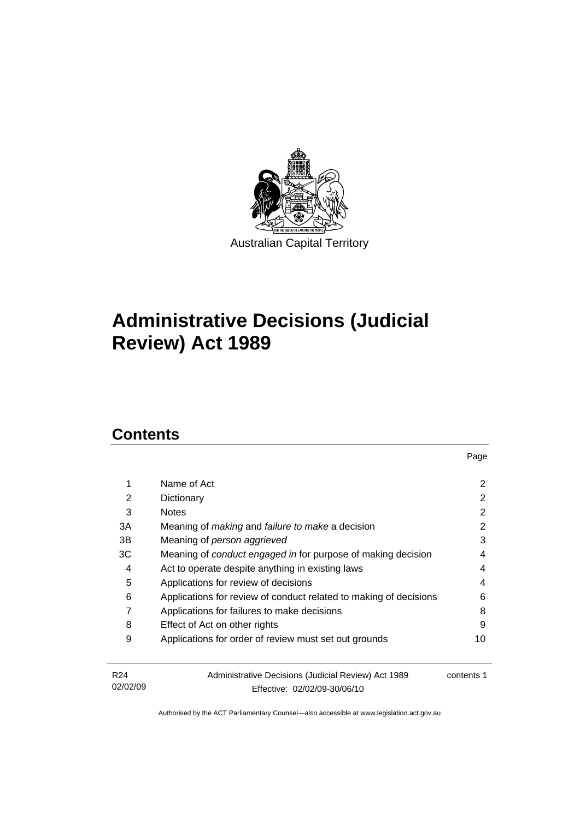

# **[Administrative Decisions \(Judicial](#page-4-0)  [Review\) Act 1989](#page-4-0)**

# **Contents**

|                             |                                                                                     | Page       |
|-----------------------------|-------------------------------------------------------------------------------------|------------|
| 1                           | Name of Act                                                                         | 2          |
| 2                           | Dictionary                                                                          | 2          |
| 3                           | <b>Notes</b>                                                                        | 2          |
| ЗA                          | Meaning of <i>making</i> and <i>failure to make</i> a decision                      | 2          |
| 3B                          | Meaning of person aggrieved                                                         | 3          |
| ЗC                          | Meaning of conduct engaged in for purpose of making decision                        | 4          |
| 4                           | Act to operate despite anything in existing laws                                    | 4          |
| 5                           | Applications for review of decisions                                                | 4          |
| 6                           | Applications for review of conduct related to making of decisions                   | 6          |
| 7                           | Applications for failures to make decisions                                         | 8          |
| 8                           | Effect of Act on other rights                                                       | 9          |
| 9                           | Applications for order of review must set out grounds                               | 10         |
| R <sub>24</sub><br>02/02/09 | Administrative Decisions (Judicial Review) Act 1989<br>Fffective: 02/02/09-30/06/10 | contents 1 |

Effective: 02/02/09-30/06/10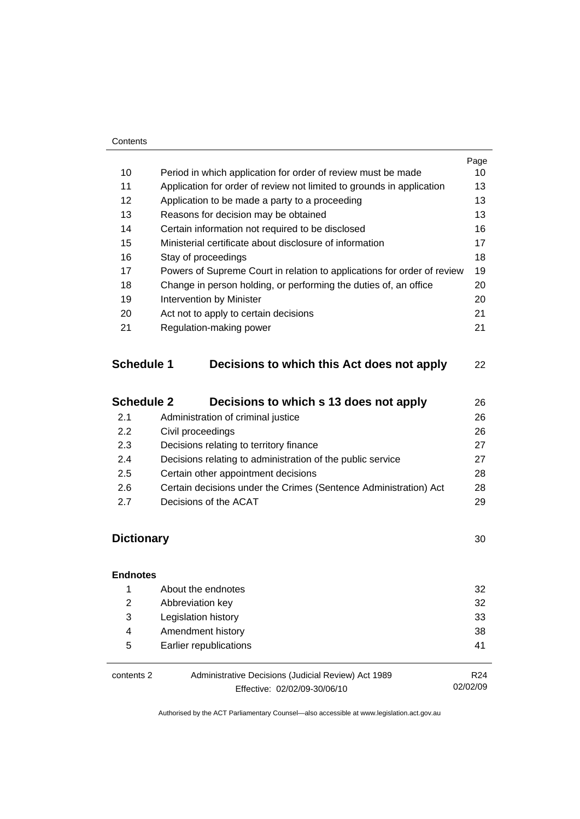#### **Contents**

|    |                                                                         | Page |
|----|-------------------------------------------------------------------------|------|
| 10 | Period in which application for order of review must be made            | 10   |
| 11 | Application for order of review not limited to grounds in application   | 13   |
| 12 | Application to be made a party to a proceeding                          | 13   |
| 13 | Reasons for decision may be obtained                                    | 13   |
| 14 | Certain information not required to be disclosed                        | 16   |
| 15 | Ministerial certificate about disclosure of information                 | 17   |
| 16 | Stay of proceedings                                                     | 18   |
| 17 | Powers of Supreme Court in relation to applications for order of review | 19   |
| 18 | Change in person holding, or performing the duties of, an office        | 20   |
| 19 | Intervention by Minister                                                | 20   |
| 20 | Act not to apply to certain decisions                                   | 21   |
| 21 | Regulation-making power                                                 | 21   |
|    |                                                                         |      |

# **Schedule 1 Decisions to which this Act does not apply** [22](#page-25-0)

| <b>Schedule 2</b> | Decisions to which s 13 does not apply                           | 26 |
|-------------------|------------------------------------------------------------------|----|
| 2.1               | Administration of criminal justice                               | 26 |
| 2.2               | Civil proceedings                                                | 26 |
| 2.3               | Decisions relating to territory finance                          | 27 |
| 2.4               | Decisions relating to administration of the public service       | 27 |
| 2.5               | Certain other appointment decisions                              | 28 |
| 2.6               | Certain decisions under the Crimes (Sentence Administration) Act | 28 |
| 27                | Decisions of the ACAT                                            | 29 |
|                   |                                                                  |    |

# **Dictionary** [30](#page-33-0)

| <b>Endnotes</b> |                                                     |                 |
|-----------------|-----------------------------------------------------|-----------------|
| 1               | About the endnotes                                  | 32              |
| 2               | Abbreviation key                                    | 32              |
| 3               | Legislation history                                 | 33              |
| 4               | Amendment history                                   | 38              |
| 5               | Earlier republications                              | 41              |
|                 |                                                     |                 |
| contents 2      | Administrative Decisions (Judicial Review) Act 1989 | R <sub>24</sub> |
|                 | Effective: 02/02/09-30/06/10                        | 02/02/09        |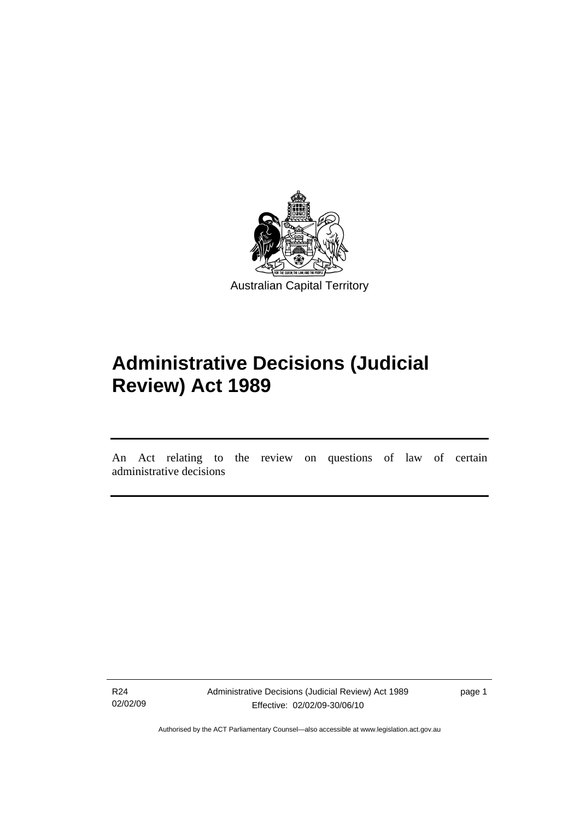<span id="page-4-0"></span>

# **Administrative Decisions (Judicial Review) Act 1989**

An Act relating to the review on questions of law of certain administrative decisions

R24 02/02/09

ׇ֡֬֡

Administrative Decisions (Judicial Review) Act 1989 Effective: 02/02/09-30/06/10

page 1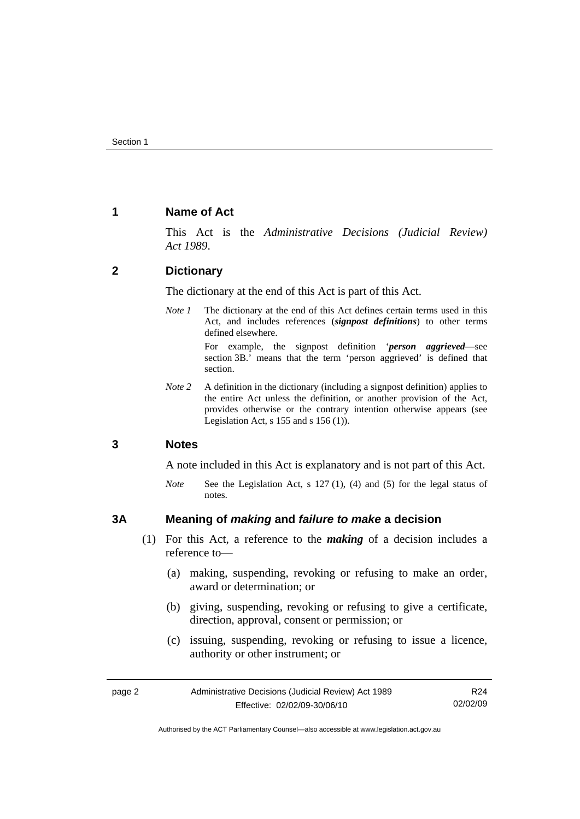## <span id="page-5-0"></span>**1 Name of Act**

This Act is the *Administrative Decisions (Judicial Review) Act 1989*.

## **2 Dictionary**

The dictionary at the end of this Act is part of this Act.

*Note 1* The dictionary at the end of this Act defines certain terms used in this Act, and includes references (*signpost definitions*) to other terms defined elsewhere.

> For example, the signpost definition '*person aggrieved*—see section 3B.' means that the term 'person aggrieved' is defined that section.

*Note* 2 A definition in the dictionary (including a signpost definition) applies to the entire Act unless the definition, or another provision of the Act, provides otherwise or the contrary intention otherwise appears (see Legislation Act, s  $155$  and s  $156$  (1)).

## **3 Notes**

A note included in this Act is explanatory and is not part of this Act.

*Note* See the Legislation Act, s 127 (1), (4) and (5) for the legal status of notes.

## **3A Meaning of** *making* **and** *failure to make* **a decision**

- (1) For this Act, a reference to the *making* of a decision includes a reference to—
	- (a) making, suspending, revoking or refusing to make an order, award or determination; or
	- (b) giving, suspending, revoking or refusing to give a certificate, direction, approval, consent or permission; or
	- (c) issuing, suspending, revoking or refusing to issue a licence, authority or other instrument; or

| page 2 | Administrative Decisions (Judicial Review) Act 1989 | R <sub>24</sub> |
|--------|-----------------------------------------------------|-----------------|
|        | Effective: 02/02/09-30/06/10                        | 02/02/09        |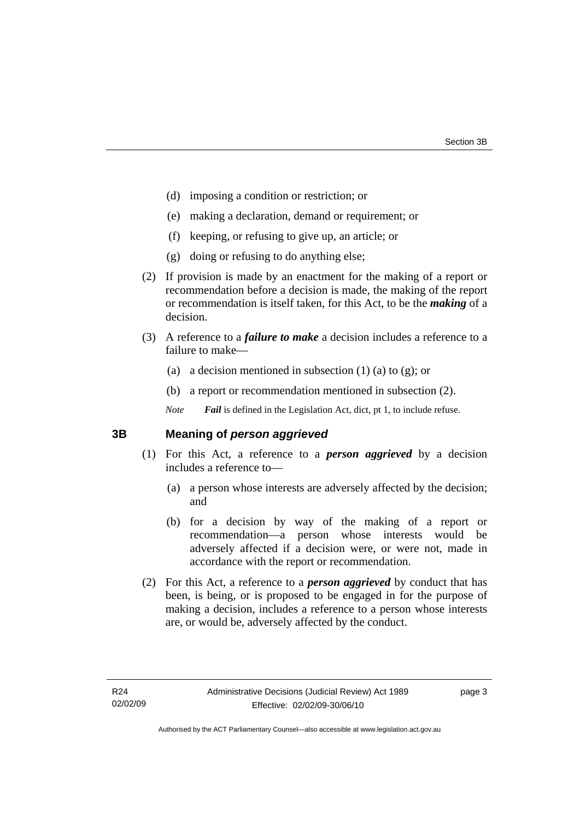- <span id="page-6-0"></span>(d) imposing a condition or restriction; or
- (e) making a declaration, demand or requirement; or
- (f) keeping, or refusing to give up, an article; or
- (g) doing or refusing to do anything else;
- (2) If provision is made by an enactment for the making of a report or recommendation before a decision is made, the making of the report or recommendation is itself taken, for this Act, to be the *making* of a decision.
- (3) A reference to a *failure to make* a decision includes a reference to a failure to make—
	- (a) a decision mentioned in subsection  $(1)$  (a) to  $(g)$ ; or
	- (b) a report or recommendation mentioned in subsection (2).

*Note Fail* is defined in the Legislation Act, dict, pt 1, to include refuse.

## **3B Meaning of** *person aggrieved*

- (1) For this Act, a reference to a *person aggrieved* by a decision includes a reference to—
	- (a) a person whose interests are adversely affected by the decision; and
	- (b) for a decision by way of the making of a report or recommendation—a person whose interests would be adversely affected if a decision were, or were not, made in accordance with the report or recommendation.
- (2) For this Act, a reference to a *person aggrieved* by conduct that has been, is being, or is proposed to be engaged in for the purpose of making a decision, includes a reference to a person whose interests are, or would be, adversely affected by the conduct.

page 3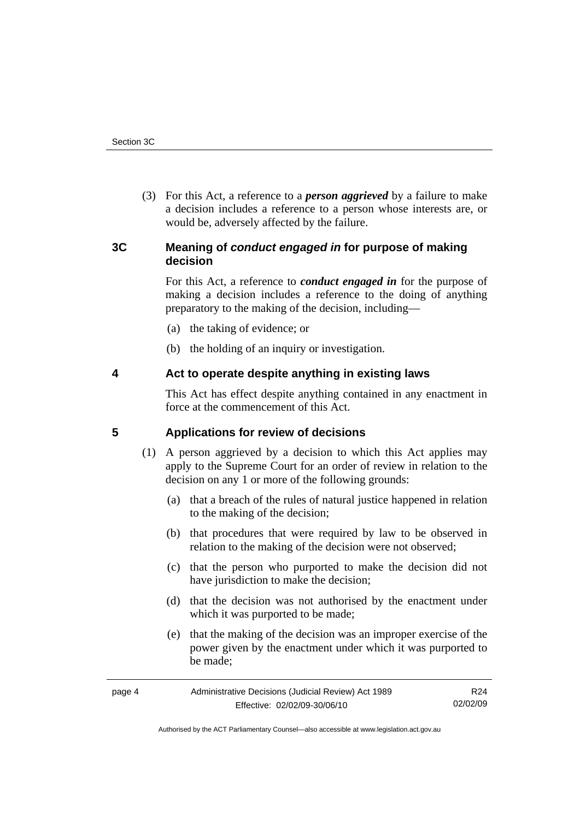<span id="page-7-0"></span> (3) For this Act, a reference to a *person aggrieved* by a failure to make a decision includes a reference to a person whose interests are, or would be, adversely affected by the failure.

## **3C Meaning of** *conduct engaged in* **for purpose of making decision**

For this Act, a reference to *conduct engaged in* for the purpose of making a decision includes a reference to the doing of anything preparatory to the making of the decision, including—

- (a) the taking of evidence; or
- (b) the holding of an inquiry or investigation.

## **4 Act to operate despite anything in existing laws**

This Act has effect despite anything contained in any enactment in force at the commencement of this Act.

## **5 Applications for review of decisions**

- (1) A person aggrieved by a decision to which this Act applies may apply to the Supreme Court for an order of review in relation to the decision on any 1 or more of the following grounds:
	- (a) that a breach of the rules of natural justice happened in relation to the making of the decision;
	- (b) that procedures that were required by law to be observed in relation to the making of the decision were not observed;
	- (c) that the person who purported to make the decision did not have jurisdiction to make the decision;
	- (d) that the decision was not authorised by the enactment under which it was purported to be made;
	- (e) that the making of the decision was an improper exercise of the power given by the enactment under which it was purported to be made;

| page 4 | Administrative Decisions (Judicial Review) Act 1989 | R24      |
|--------|-----------------------------------------------------|----------|
|        | Effective: 02/02/09-30/06/10                        | 02/02/09 |

Authorised by the ACT Parliamentary Counsel—also accessible at www.legislation.act.gov.au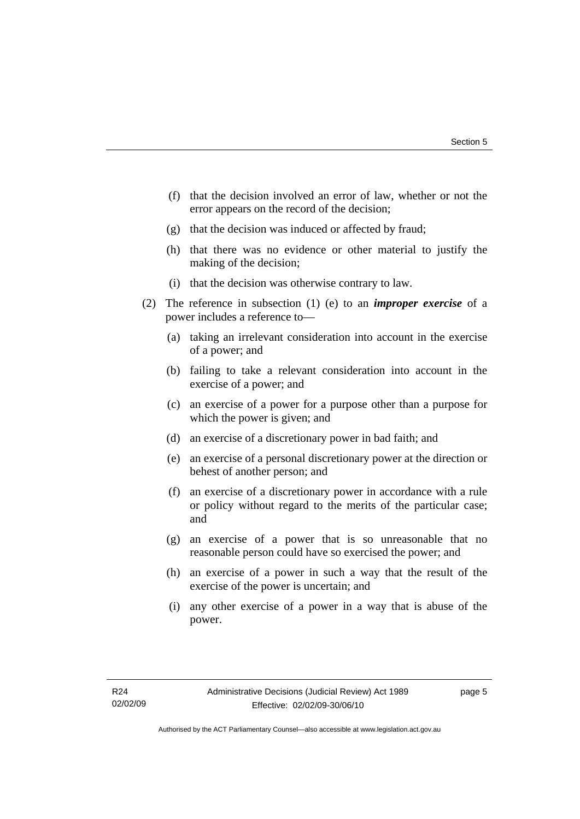- (f) that the decision involved an error of law, whether or not the error appears on the record of the decision;
- (g) that the decision was induced or affected by fraud;
- (h) that there was no evidence or other material to justify the making of the decision;
- (i) that the decision was otherwise contrary to law.
- (2) The reference in subsection (1) (e) to an *improper exercise* of a power includes a reference to—
	- (a) taking an irrelevant consideration into account in the exercise of a power; and
	- (b) failing to take a relevant consideration into account in the exercise of a power; and
	- (c) an exercise of a power for a purpose other than a purpose for which the power is given; and
	- (d) an exercise of a discretionary power in bad faith; and
	- (e) an exercise of a personal discretionary power at the direction or behest of another person; and
	- (f) an exercise of a discretionary power in accordance with a rule or policy without regard to the merits of the particular case; and
	- (g) an exercise of a power that is so unreasonable that no reasonable person could have so exercised the power; and
	- (h) an exercise of a power in such a way that the result of the exercise of the power is uncertain; and
	- (i) any other exercise of a power in a way that is abuse of the power.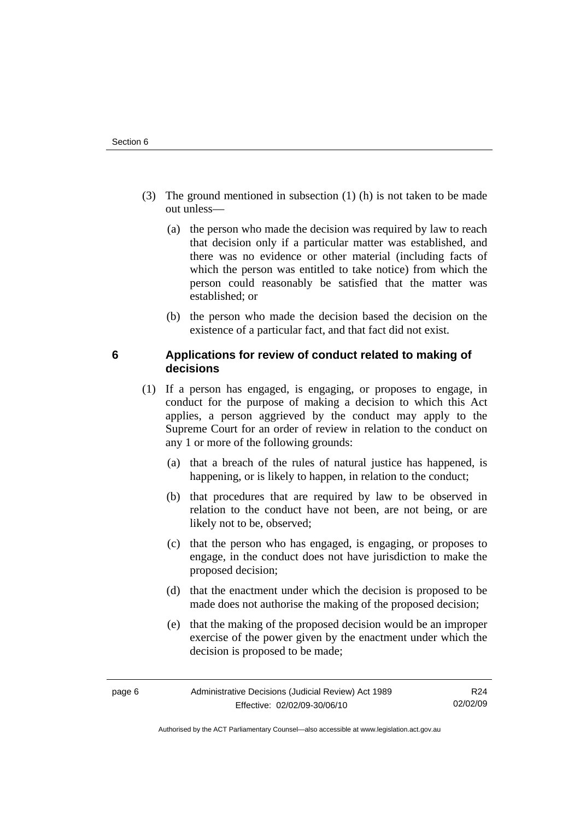- <span id="page-9-0"></span> (3) The ground mentioned in subsection (1) (h) is not taken to be made out unless—
	- (a) the person who made the decision was required by law to reach that decision only if a particular matter was established, and there was no evidence or other material (including facts of which the person was entitled to take notice) from which the person could reasonably be satisfied that the matter was established; or
	- (b) the person who made the decision based the decision on the existence of a particular fact, and that fact did not exist.

## **6 Applications for review of conduct related to making of decisions**

- (1) If a person has engaged, is engaging, or proposes to engage, in conduct for the purpose of making a decision to which this Act applies, a person aggrieved by the conduct may apply to the Supreme Court for an order of review in relation to the conduct on any 1 or more of the following grounds:
	- (a) that a breach of the rules of natural justice has happened, is happening, or is likely to happen, in relation to the conduct;
	- (b) that procedures that are required by law to be observed in relation to the conduct have not been, are not being, or are likely not to be, observed;
	- (c) that the person who has engaged, is engaging, or proposes to engage, in the conduct does not have jurisdiction to make the proposed decision;
	- (d) that the enactment under which the decision is proposed to be made does not authorise the making of the proposed decision;
	- (e) that the making of the proposed decision would be an improper exercise of the power given by the enactment under which the decision is proposed to be made;

Authorised by the ACT Parliamentary Counsel—also accessible at www.legislation.act.gov.au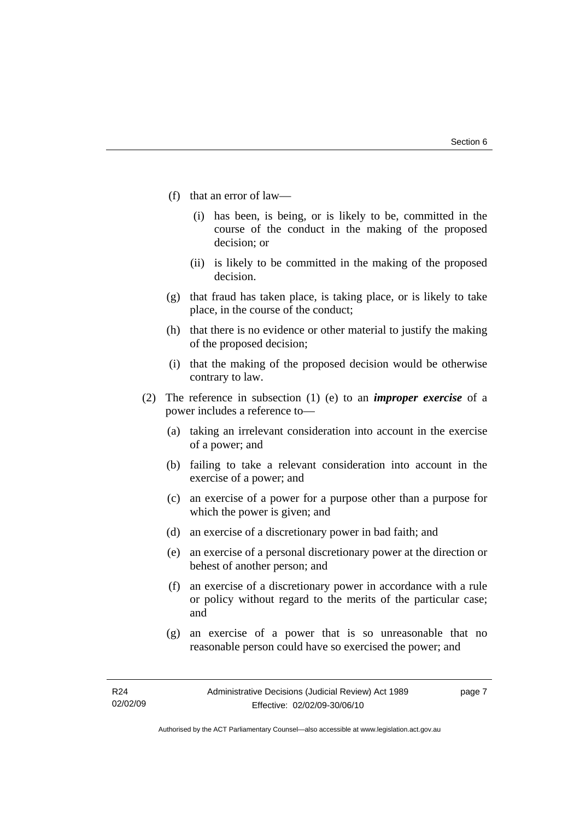- (f) that an error of law—
	- (i) has been, is being, or is likely to be, committed in the course of the conduct in the making of the proposed decision; or
	- (ii) is likely to be committed in the making of the proposed decision.
- (g) that fraud has taken place, is taking place, or is likely to take place, in the course of the conduct;
- (h) that there is no evidence or other material to justify the making of the proposed decision;
- (i) that the making of the proposed decision would be otherwise contrary to law.
- (2) The reference in subsection (1) (e) to an *improper exercise* of a power includes a reference to—
	- (a) taking an irrelevant consideration into account in the exercise of a power; and
	- (b) failing to take a relevant consideration into account in the exercise of a power; and
	- (c) an exercise of a power for a purpose other than a purpose for which the power is given; and
	- (d) an exercise of a discretionary power in bad faith; and
	- (e) an exercise of a personal discretionary power at the direction or behest of another person; and
	- (f) an exercise of a discretionary power in accordance with a rule or policy without regard to the merits of the particular case; and
	- (g) an exercise of a power that is so unreasonable that no reasonable person could have so exercised the power; and

page 7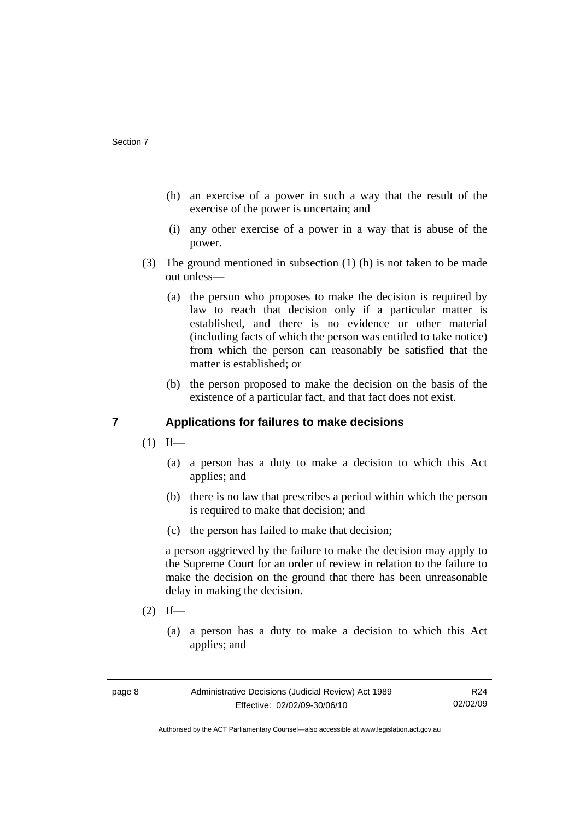- <span id="page-11-0"></span> (h) an exercise of a power in such a way that the result of the exercise of the power is uncertain; and
- (i) any other exercise of a power in a way that is abuse of the power.
- (3) The ground mentioned in subsection (1) (h) is not taken to be made out unless—
	- (a) the person who proposes to make the decision is required by law to reach that decision only if a particular matter is established, and there is no evidence or other material (including facts of which the person was entitled to take notice) from which the person can reasonably be satisfied that the matter is established; or
	- (b) the person proposed to make the decision on the basis of the existence of a particular fact, and that fact does not exist.

## **7 Applications for failures to make decisions**

- $(1)$  If—
	- (a) a person has a duty to make a decision to which this Act applies; and
	- (b) there is no law that prescribes a period within which the person is required to make that decision; and
	- (c) the person has failed to make that decision;

a person aggrieved by the failure to make the decision may apply to the Supreme Court for an order of review in relation to the failure to make the decision on the ground that there has been unreasonable delay in making the decision.

- $(2)$  If—
	- (a) a person has a duty to make a decision to which this Act applies; and

Authorised by the ACT Parliamentary Counsel—also accessible at www.legislation.act.gov.au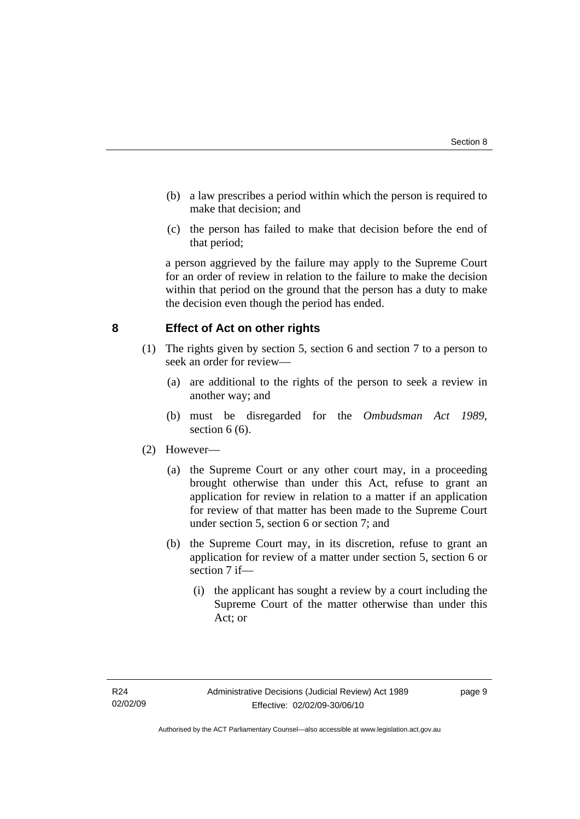- <span id="page-12-0"></span> (b) a law prescribes a period within which the person is required to make that decision; and
- (c) the person has failed to make that decision before the end of that period;

a person aggrieved by the failure may apply to the Supreme Court for an order of review in relation to the failure to make the decision within that period on the ground that the person has a duty to make the decision even though the period has ended.

## **8 Effect of Act on other rights**

- (1) The rights given by section 5, section 6 and section 7 to a person to seek an order for review—
	- (a) are additional to the rights of the person to seek a review in another way; and
	- (b) must be disregarded for the *Ombudsman Act 1989*, section  $6(6)$ .

## (2) However—

- (a) the Supreme Court or any other court may, in a proceeding brought otherwise than under this Act, refuse to grant an application for review in relation to a matter if an application for review of that matter has been made to the Supreme Court under section 5, section 6 or section 7; and
- (b) the Supreme Court may, in its discretion, refuse to grant an application for review of a matter under section 5, section 6 or section 7 if—
	- (i) the applicant has sought a review by a court including the Supreme Court of the matter otherwise than under this Act; or

page 9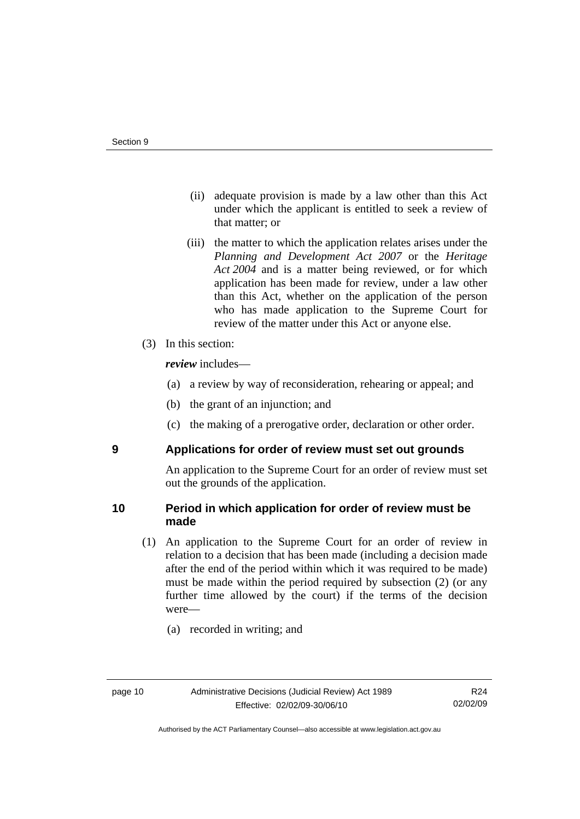- <span id="page-13-0"></span> (ii) adequate provision is made by a law other than this Act under which the applicant is entitled to seek a review of that matter; or
- (iii) the matter to which the application relates arises under the *Planning and Development Act 2007* or the *Heritage Act 2004* and is a matter being reviewed, or for which application has been made for review, under a law other than this Act, whether on the application of the person who has made application to the Supreme Court for review of the matter under this Act or anyone else.
- (3) In this section:

*review* includes—

- (a) a review by way of reconsideration, rehearing or appeal; and
- (b) the grant of an injunction; and
- (c) the making of a prerogative order, declaration or other order.

## **9 Applications for order of review must set out grounds**

An application to the Supreme Court for an order of review must set out the grounds of the application.

## **10 Period in which application for order of review must be made**

- (1) An application to the Supreme Court for an order of review in relation to a decision that has been made (including a decision made after the end of the period within which it was required to be made) must be made within the period required by subsection (2) (or any further time allowed by the court) if the terms of the decision were—
	- (a) recorded in writing; and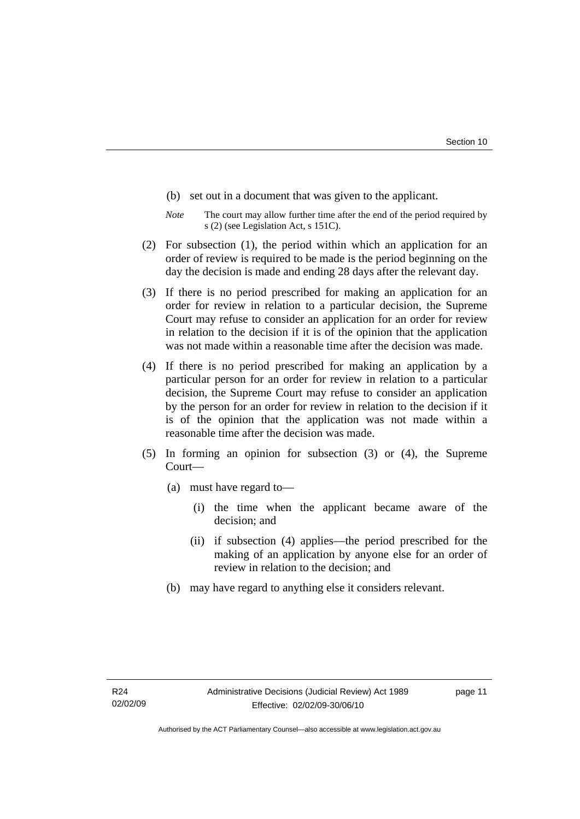- (b) set out in a document that was given to the applicant.
- *Note* The court may allow further time after the end of the period required by s (2) (see Legislation Act, s 151C).
- (2) For subsection (1), the period within which an application for an order of review is required to be made is the period beginning on the day the decision is made and ending 28 days after the relevant day.
- (3) If there is no period prescribed for making an application for an order for review in relation to a particular decision, the Supreme Court may refuse to consider an application for an order for review in relation to the decision if it is of the opinion that the application was not made within a reasonable time after the decision was made.
- (4) If there is no period prescribed for making an application by a particular person for an order for review in relation to a particular decision, the Supreme Court may refuse to consider an application by the person for an order for review in relation to the decision if it is of the opinion that the application was not made within a reasonable time after the decision was made.
- (5) In forming an opinion for subsection (3) or (4), the Supreme Court—
	- (a) must have regard to—
		- (i) the time when the applicant became aware of the decision; and
		- (ii) if subsection (4) applies—the period prescribed for the making of an application by anyone else for an order of review in relation to the decision; and
	- (b) may have regard to anything else it considers relevant.

page 11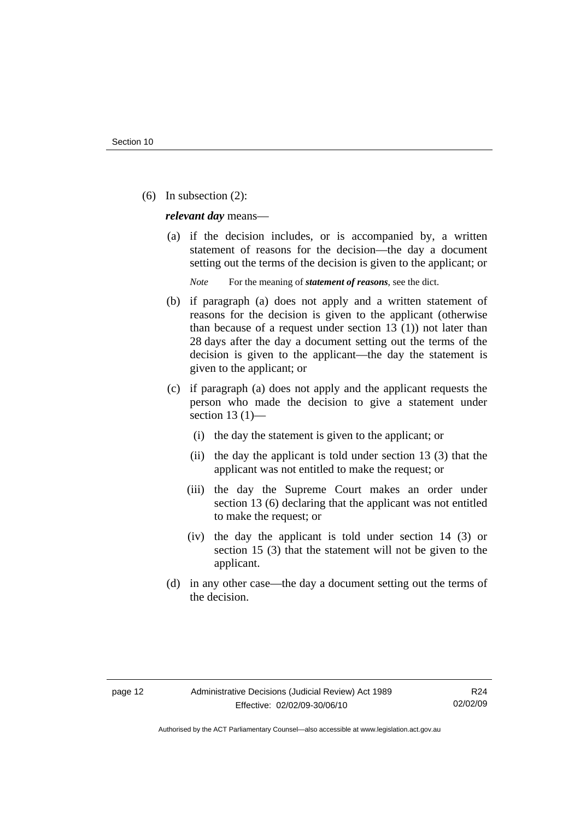(6) In subsection (2):

*relevant day* means—

 (a) if the decision includes, or is accompanied by, a written statement of reasons for the decision—the day a document setting out the terms of the decision is given to the applicant; or

*Note* For the meaning of *statement of reasons*, see the dict.

- (b) if paragraph (a) does not apply and a written statement of reasons for the decision is given to the applicant (otherwise than because of a request under section 13 (1)) not later than 28 days after the day a document setting out the terms of the decision is given to the applicant—the day the statement is given to the applicant; or
- (c) if paragraph (a) does not apply and the applicant requests the person who made the decision to give a statement under section 13 $(1)$ —
	- (i) the day the statement is given to the applicant; or
	- (ii) the day the applicant is told under section 13 (3) that the applicant was not entitled to make the request; or
	- (iii) the day the Supreme Court makes an order under section 13 (6) declaring that the applicant was not entitled to make the request; or
	- (iv) the day the applicant is told under section 14 (3) or section 15 (3) that the statement will not be given to the applicant.
- (d) in any other case—the day a document setting out the terms of the decision.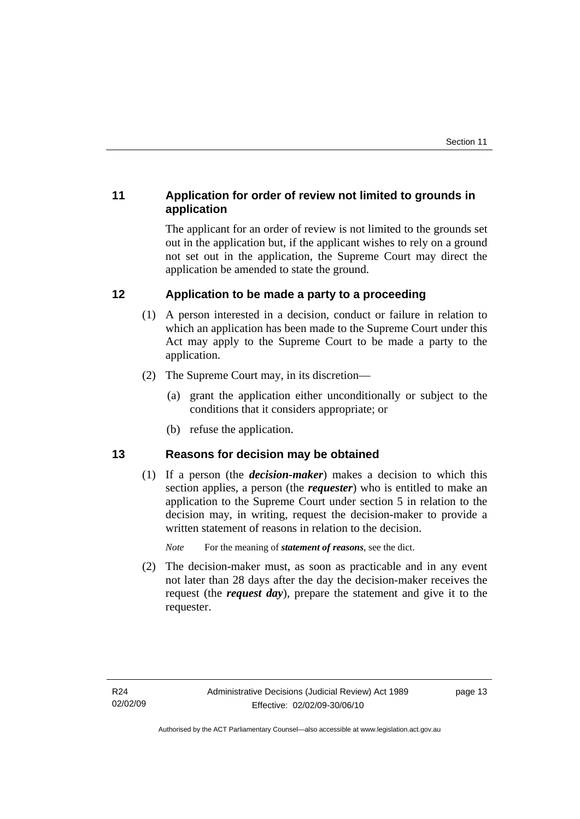# <span id="page-16-0"></span>**11 Application for order of review not limited to grounds in application**

The applicant for an order of review is not limited to the grounds set out in the application but, if the applicant wishes to rely on a ground not set out in the application, the Supreme Court may direct the application be amended to state the ground.

# **12 Application to be made a party to a proceeding**

- (1) A person interested in a decision, conduct or failure in relation to which an application has been made to the Supreme Court under this Act may apply to the Supreme Court to be made a party to the application.
- (2) The Supreme Court may, in its discretion—
	- (a) grant the application either unconditionally or subject to the conditions that it considers appropriate; or
	- (b) refuse the application.

## **13 Reasons for decision may be obtained**

 (1) If a person (the *decision-maker*) makes a decision to which this section applies, a person (the *requester*) who is entitled to make an application to the Supreme Court under section 5 in relation to the decision may, in writing, request the decision-maker to provide a written statement of reasons in relation to the decision.

*Note* For the meaning of *statement of reasons*, see the dict.

 (2) The decision-maker must, as soon as practicable and in any event not later than 28 days after the day the decision-maker receives the request (the *request day*), prepare the statement and give it to the requester.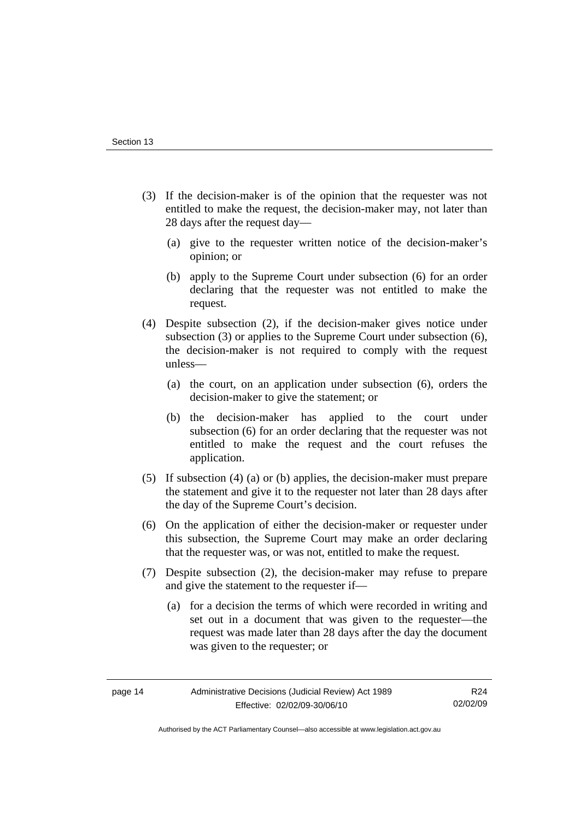- (3) If the decision-maker is of the opinion that the requester was not entitled to make the request, the decision-maker may, not later than 28 days after the request day—
	- (a) give to the requester written notice of the decision-maker's opinion; or
	- (b) apply to the Supreme Court under subsection (6) for an order declaring that the requester was not entitled to make the request.
- (4) Despite subsection (2), if the decision-maker gives notice under subsection (3) or applies to the Supreme Court under subsection (6), the decision-maker is not required to comply with the request unless—
	- (a) the court, on an application under subsection (6), orders the decision-maker to give the statement; or
	- (b) the decision-maker has applied to the court under subsection (6) for an order declaring that the requester was not entitled to make the request and the court refuses the application.
- (5) If subsection (4) (a) or (b) applies, the decision-maker must prepare the statement and give it to the requester not later than 28 days after the day of the Supreme Court's decision.
- (6) On the application of either the decision-maker or requester under this subsection, the Supreme Court may make an order declaring that the requester was, or was not, entitled to make the request.
- (7) Despite subsection (2), the decision-maker may refuse to prepare and give the statement to the requester if—
	- (a) for a decision the terms of which were recorded in writing and set out in a document that was given to the requester—the request was made later than 28 days after the day the document was given to the requester; or

R24 02/02/09

Authorised by the ACT Parliamentary Counsel—also accessible at www.legislation.act.gov.au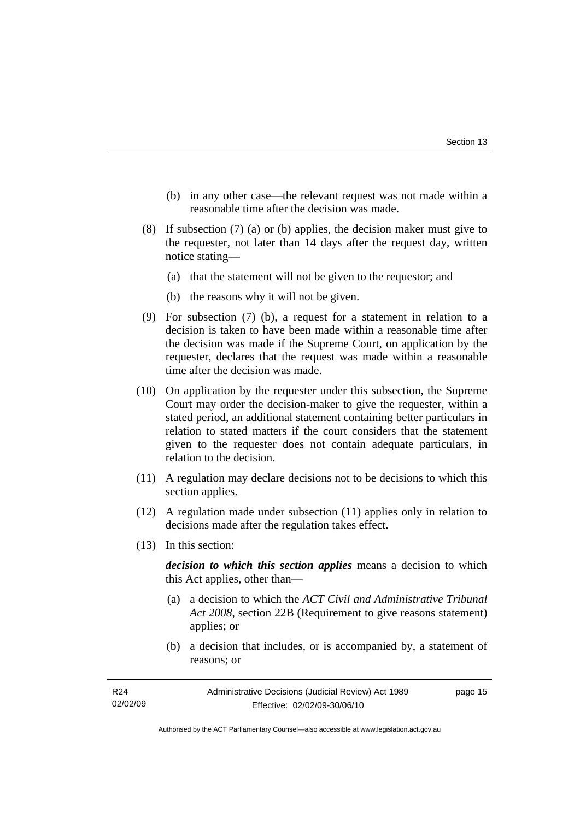- (b) in any other case—the relevant request was not made within a reasonable time after the decision was made.
- (8) If subsection (7) (a) or (b) applies, the decision maker must give to the requester, not later than 14 days after the request day, written notice stating—
	- (a) that the statement will not be given to the requestor; and
	- (b) the reasons why it will not be given.
- (9) For subsection (7) (b), a request for a statement in relation to a decision is taken to have been made within a reasonable time after the decision was made if the Supreme Court, on application by the requester, declares that the request was made within a reasonable time after the decision was made.
- (10) On application by the requester under this subsection, the Supreme Court may order the decision-maker to give the requester, within a stated period, an additional statement containing better particulars in relation to stated matters if the court considers that the statement given to the requester does not contain adequate particulars, in relation to the decision.
- (11) A regulation may declare decisions not to be decisions to which this section applies.
- (12) A regulation made under subsection (11) applies only in relation to decisions made after the regulation takes effect.
- (13) In this section:

*decision to which this section applies* means a decision to which this Act applies, other than—

- (a) a decision to which the *ACT Civil and Administrative Tribunal Act 2008*, section 22B (Requirement to give reasons statement) applies; or
- (b) a decision that includes, or is accompanied by, a statement of reasons; or

Authorised by the ACT Parliamentary Counsel—also accessible at www.legislation.act.gov.au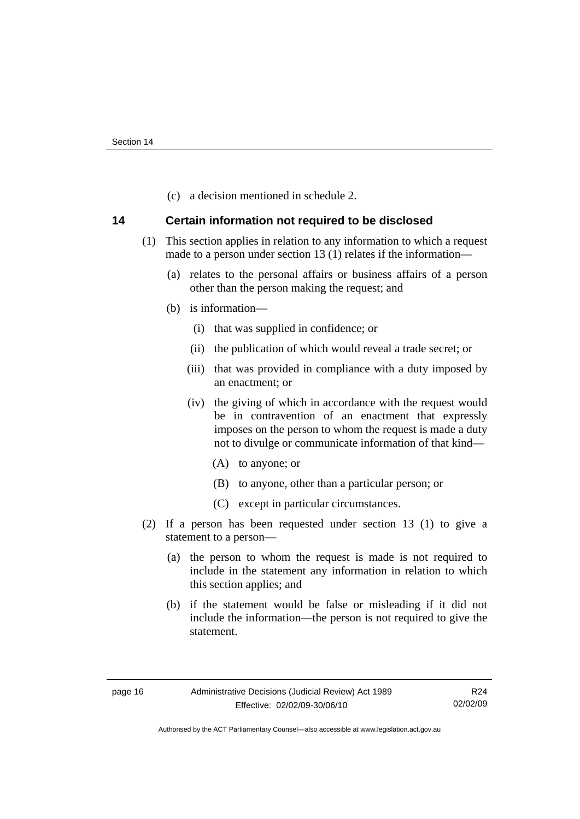(c) a decision mentioned in schedule 2.

## <span id="page-19-0"></span>**14 Certain information not required to be disclosed**

- (1) This section applies in relation to any information to which a request made to a person under section 13 (1) relates if the information—
	- (a) relates to the personal affairs or business affairs of a person other than the person making the request; and
	- (b) is information—
		- (i) that was supplied in confidence; or
		- (ii) the publication of which would reveal a trade secret; or
		- (iii) that was provided in compliance with a duty imposed by an enactment; or
		- (iv) the giving of which in accordance with the request would be in contravention of an enactment that expressly imposes on the person to whom the request is made a duty not to divulge or communicate information of that kind—
			- (A) to anyone; or
			- (B) to anyone, other than a particular person; or
			- (C) except in particular circumstances.
- (2) If a person has been requested under section 13 (1) to give a statement to a person—
	- (a) the person to whom the request is made is not required to include in the statement any information in relation to which this section applies; and
	- (b) if the statement would be false or misleading if it did not include the information—the person is not required to give the statement.

R24 02/02/09

Authorised by the ACT Parliamentary Counsel—also accessible at www.legislation.act.gov.au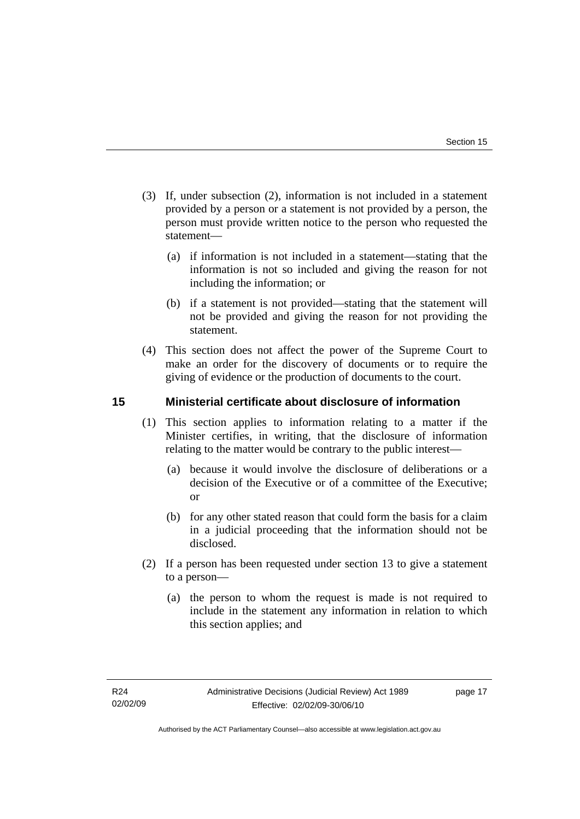- <span id="page-20-0"></span> (3) If, under subsection (2), information is not included in a statement provided by a person or a statement is not provided by a person, the person must provide written notice to the person who requested the statement—
	- (a) if information is not included in a statement—stating that the information is not so included and giving the reason for not including the information; or
	- (b) if a statement is not provided—stating that the statement will not be provided and giving the reason for not providing the statement.
- (4) This section does not affect the power of the Supreme Court to make an order for the discovery of documents or to require the giving of evidence or the production of documents to the court.

## **15 Ministerial certificate about disclosure of information**

- (1) This section applies to information relating to a matter if the Minister certifies, in writing, that the disclosure of information relating to the matter would be contrary to the public interest—
	- (a) because it would involve the disclosure of deliberations or a decision of the Executive or of a committee of the Executive; or
	- (b) for any other stated reason that could form the basis for a claim in a judicial proceeding that the information should not be disclosed.
- (2) If a person has been requested under section 13 to give a statement to a person—
	- (a) the person to whom the request is made is not required to include in the statement any information in relation to which this section applies; and

page 17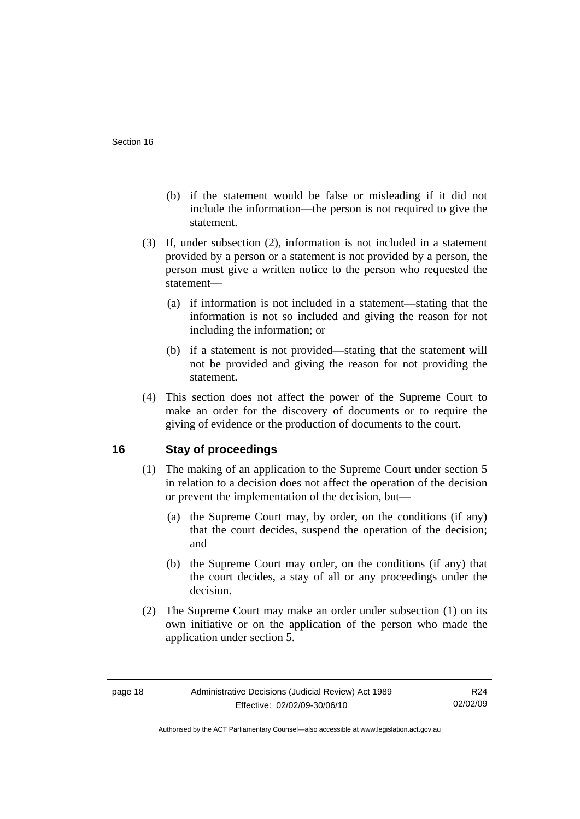- <span id="page-21-0"></span> (b) if the statement would be false or misleading if it did not include the information—the person is not required to give the statement.
- (3) If, under subsection (2), information is not included in a statement provided by a person or a statement is not provided by a person, the person must give a written notice to the person who requested the statement—
	- (a) if information is not included in a statement—stating that the information is not so included and giving the reason for not including the information; or
	- (b) if a statement is not provided—stating that the statement will not be provided and giving the reason for not providing the statement.
- (4) This section does not affect the power of the Supreme Court to make an order for the discovery of documents or to require the giving of evidence or the production of documents to the court.

## **16 Stay of proceedings**

- (1) The making of an application to the Supreme Court under section 5 in relation to a decision does not affect the operation of the decision or prevent the implementation of the decision, but—
	- (a) the Supreme Court may, by order, on the conditions (if any) that the court decides, suspend the operation of the decision; and
	- (b) the Supreme Court may order, on the conditions (if any) that the court decides, a stay of all or any proceedings under the decision.
- (2) The Supreme Court may make an order under subsection (1) on its own initiative or on the application of the person who made the application under section 5.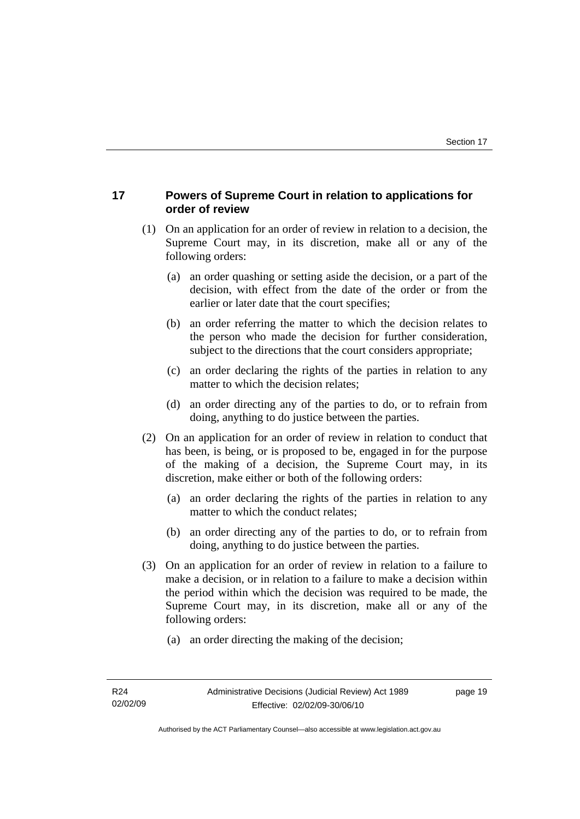## <span id="page-22-0"></span>**17 Powers of Supreme Court in relation to applications for order of review**

- (1) On an application for an order of review in relation to a decision, the Supreme Court may, in its discretion, make all or any of the following orders:
	- (a) an order quashing or setting aside the decision, or a part of the decision, with effect from the date of the order or from the earlier or later date that the court specifies;
	- (b) an order referring the matter to which the decision relates to the person who made the decision for further consideration, subject to the directions that the court considers appropriate;
	- (c) an order declaring the rights of the parties in relation to any matter to which the decision relates;
	- (d) an order directing any of the parties to do, or to refrain from doing, anything to do justice between the parties.
- (2) On an application for an order of review in relation to conduct that has been, is being, or is proposed to be, engaged in for the purpose of the making of a decision, the Supreme Court may, in its discretion, make either or both of the following orders:
	- (a) an order declaring the rights of the parties in relation to any matter to which the conduct relates;
	- (b) an order directing any of the parties to do, or to refrain from doing, anything to do justice between the parties.
- (3) On an application for an order of review in relation to a failure to make a decision, or in relation to a failure to make a decision within the period within which the decision was required to be made, the Supreme Court may, in its discretion, make all or any of the following orders:
	- (a) an order directing the making of the decision;

page 19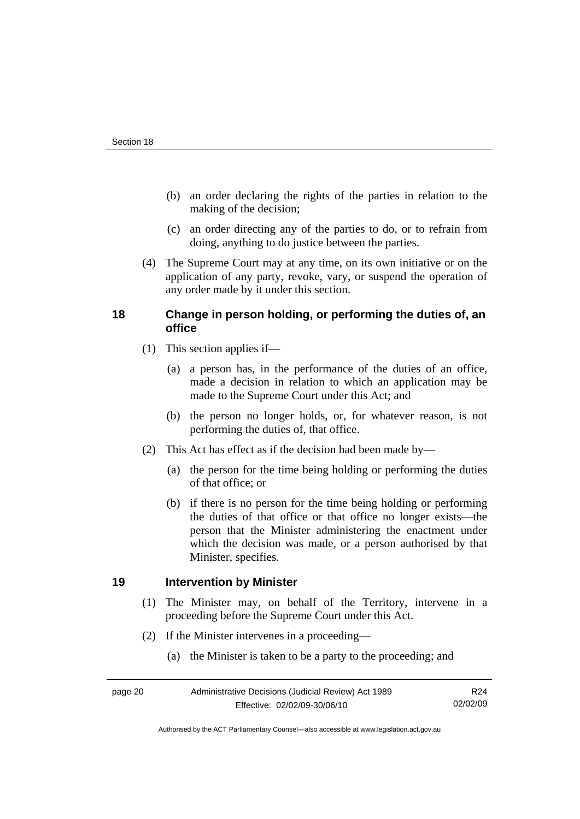- <span id="page-23-0"></span> (b) an order declaring the rights of the parties in relation to the making of the decision;
- (c) an order directing any of the parties to do, or to refrain from doing, anything to do justice between the parties.
- (4) The Supreme Court may at any time, on its own initiative or on the application of any party, revoke, vary, or suspend the operation of any order made by it under this section.

## **18 Change in person holding, or performing the duties of, an office**

- (1) This section applies if—
	- (a) a person has, in the performance of the duties of an office, made a decision in relation to which an application may be made to the Supreme Court under this Act; and
	- (b) the person no longer holds, or, for whatever reason, is not performing the duties of, that office.
- (2) This Act has effect as if the decision had been made by—
	- (a) the person for the time being holding or performing the duties of that office; or
	- (b) if there is no person for the time being holding or performing the duties of that office or that office no longer exists—the person that the Minister administering the enactment under which the decision was made, or a person authorised by that Minister, specifies.

## **19 Intervention by Minister**

- (1) The Minister may, on behalf of the Territory, intervene in a proceeding before the Supreme Court under this Act.
- (2) If the Minister intervenes in a proceeding—
	- (a) the Minister is taken to be a party to the proceeding; and

Authorised by the ACT Parliamentary Counsel—also accessible at www.legislation.act.gov.au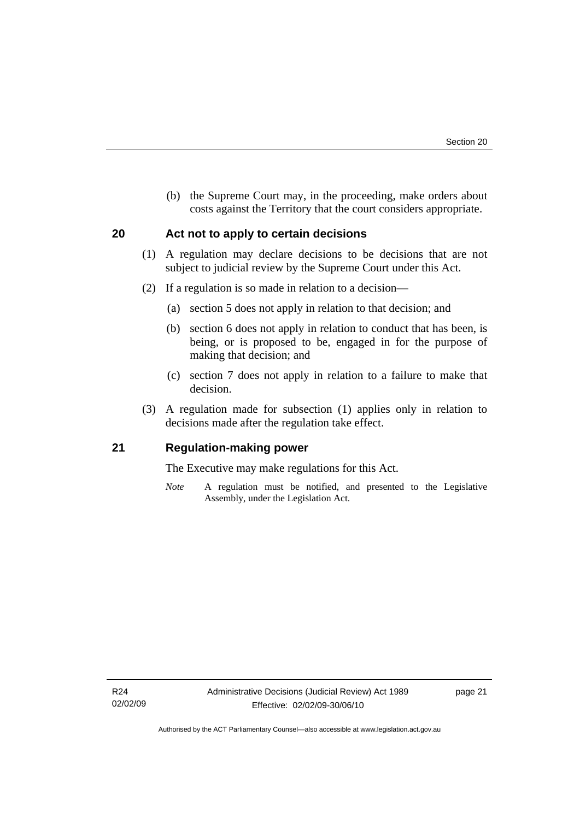<span id="page-24-0"></span> (b) the Supreme Court may, in the proceeding, make orders about costs against the Territory that the court considers appropriate.

## **20 Act not to apply to certain decisions**

- (1) A regulation may declare decisions to be decisions that are not subject to judicial review by the Supreme Court under this Act.
- (2) If a regulation is so made in relation to a decision—
	- (a) section 5 does not apply in relation to that decision; and
	- (b) section 6 does not apply in relation to conduct that has been, is being, or is proposed to be, engaged in for the purpose of making that decision; and
	- (c) section 7 does not apply in relation to a failure to make that decision.
- (3) A regulation made for subsection (1) applies only in relation to decisions made after the regulation take effect.

## **21 Regulation-making power**

The Executive may make regulations for this Act.

*Note* A regulation must be notified, and presented to the Legislative Assembly, under the Legislation Act.

page 21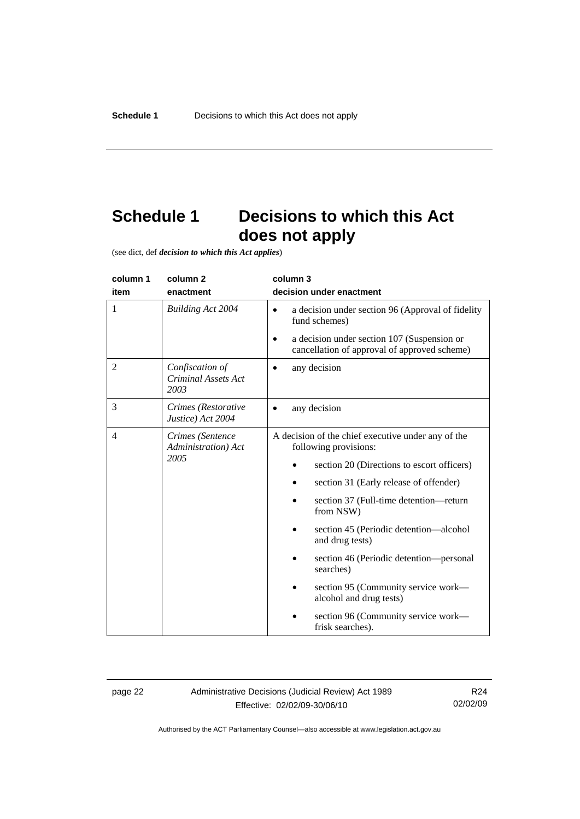# <span id="page-25-0"></span>**Schedule 1 Decisions to which this Act does not apply**

(see dict, def *decision to which this Act applies*)

| column 1                                                  | column <sub>2</sub>                                   | column 3                                                                                    |  |
|-----------------------------------------------------------|-------------------------------------------------------|---------------------------------------------------------------------------------------------|--|
| item                                                      | enactment                                             | decision under enactment                                                                    |  |
| 1                                                         | <b>Building Act 2004</b>                              | a decision under section 96 (Approval of fidelity<br>$\bullet$<br>fund schemes)             |  |
|                                                           |                                                       | a decision under section 107 (Suspension or<br>cancellation of approval of approved scheme) |  |
| 2                                                         | Confiscation of<br><b>Criminal Assets Act</b><br>2003 | any decision                                                                                |  |
| 3                                                         | Crimes (Restorative<br>Justice) Act 2004              | any decision                                                                                |  |
| $\overline{4}$<br>Crimes (Sentence<br>Administration) Act |                                                       | A decision of the chief executive under any of the<br>following provisions:                 |  |
|                                                           | 2005                                                  | section 20 (Directions to escort officers)                                                  |  |
|                                                           |                                                       | section 31 (Early release of offender)                                                      |  |
|                                                           |                                                       | section 37 (Full-time detention-return<br>from NSW)                                         |  |
|                                                           |                                                       | section 45 (Periodic detention—alcohol<br>and drug tests)                                   |  |
|                                                           |                                                       | section 46 (Periodic detention—personal<br>searches)                                        |  |
|                                                           |                                                       | section 95 (Community service work—<br>alcohol and drug tests)                              |  |
|                                                           |                                                       | section 96 (Community service work—<br>frisk searches).                                     |  |

page 22 Administrative Decisions (Judicial Review) Act 1989 Effective: 02/02/09-30/06/10

R24 02/02/09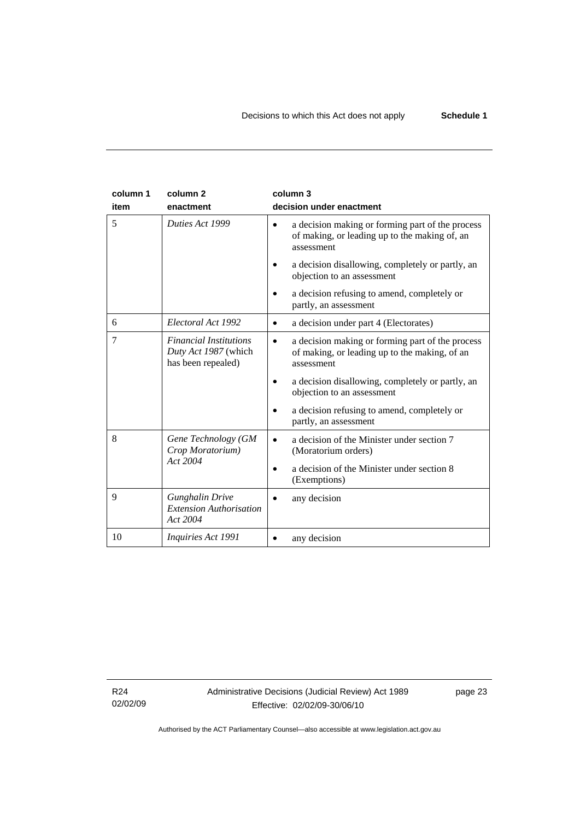| column 1<br>item | column <sub>2</sub><br>enactment                                            | column 3<br>decision under enactment                                                                                                                                                                                                                                                   |
|------------------|-----------------------------------------------------------------------------|----------------------------------------------------------------------------------------------------------------------------------------------------------------------------------------------------------------------------------------------------------------------------------------|
| 5                | Duties Act 1999                                                             | a decision making or forming part of the process<br>of making, or leading up to the making of, an<br>assessment<br>a decision disallowing, completely or partly, an<br>objection to an assessment                                                                                      |
|                  |                                                                             | a decision refusing to amend, completely or<br>partly, an assessment                                                                                                                                                                                                                   |
| 6                | Electoral Act 1992                                                          | a decision under part 4 (Electorates)                                                                                                                                                                                                                                                  |
| 7                | <b>Financial Institutions</b><br>Duty Act 1987 (which<br>has been repealed) | a decision making or forming part of the process<br>$\bullet$<br>of making, or leading up to the making, of an<br>assessment<br>a decision disallowing, completely or partly, an<br>objection to an assessment<br>a decision refusing to amend, completely or<br>partly, an assessment |
| 8                | Gene Technology (GM<br>Crop Moratorium)<br>Act 2004                         | a decision of the Minister under section 7<br>$\bullet$<br>(Moratorium orders)<br>a decision of the Minister under section 8<br>(Exemptions)                                                                                                                                           |
| 9                | <b>Gunghalin Drive</b><br><b>Extension Authorisation</b><br>Act 2004        | any decision                                                                                                                                                                                                                                                                           |
| 10               | <i>Inquiries Act 1991</i>                                                   | any decision                                                                                                                                                                                                                                                                           |

R24 02/02/09 Administrative Decisions (Judicial Review) Act 1989 Effective: 02/02/09-30/06/10

page 23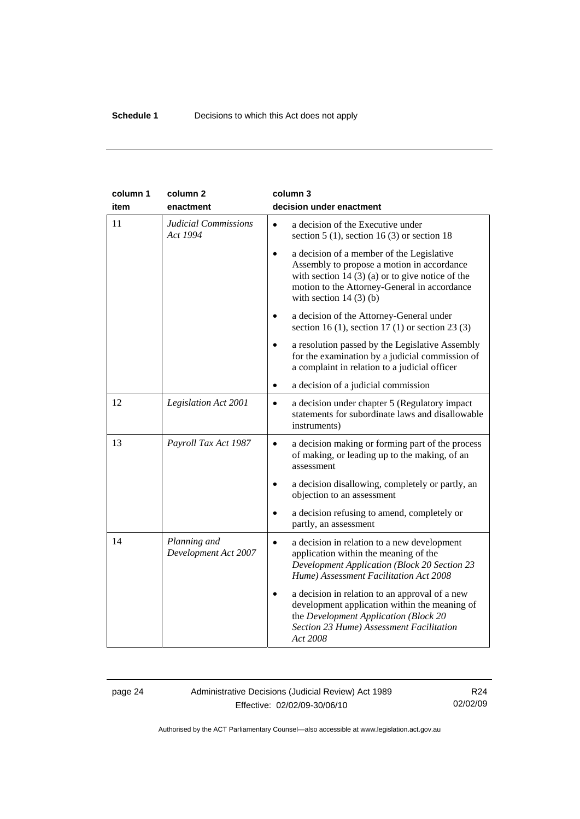| column 1<br>item | column <sub>2</sub><br>enactment        | column 3<br>decision under enactment                                                                                                                                                                                                  |
|------------------|-----------------------------------------|---------------------------------------------------------------------------------------------------------------------------------------------------------------------------------------------------------------------------------------|
| 11               | <b>Judicial Commissions</b><br>Act 1994 | a decision of the Executive under<br>$\bullet$<br>section $5(1)$ , section $16(3)$ or section 18                                                                                                                                      |
|                  |                                         | a decision of a member of the Legislative<br>$\bullet$<br>Assembly to propose a motion in accordance<br>with section 14 $(3)$ (a) or to give notice of the<br>motion to the Attorney-General in accordance<br>with section $14(3)(b)$ |
|                  |                                         | a decision of the Attorney-General under<br>$\bullet$<br>section 16 (1), section 17 (1) or section 23 (3)                                                                                                                             |
|                  |                                         | a resolution passed by the Legislative Assembly<br>for the examination by a judicial commission of<br>a complaint in relation to a judicial officer                                                                                   |
|                  |                                         | a decision of a judicial commission                                                                                                                                                                                                   |
| 12               | Legislation Act 2001                    | a decision under chapter 5 (Regulatory impact<br>$\bullet$<br>statements for subordinate laws and disallowable<br>instruments)                                                                                                        |
| 13               | Payroll Tax Act 1987                    | a decision making or forming part of the process<br>$\bullet$<br>of making, or leading up to the making, of an<br>assessment                                                                                                          |
|                  |                                         | a decision disallowing, completely or partly, an<br>$\bullet$<br>objection to an assessment                                                                                                                                           |
|                  |                                         | a decision refusing to amend, completely or<br>partly, an assessment                                                                                                                                                                  |
| 14               | Planning and<br>Development Act 2007    | a decision in relation to a new development<br>$\bullet$<br>application within the meaning of the<br><b>Development Application (Block 20 Section 23</b><br>Hume) Assessment Facilitation Act 2008                                    |
|                  |                                         | a decision in relation to an approval of a new<br>development application within the meaning of<br>the Development Application (Block 20<br>Section 23 Hume) Assessment Facilitation<br>Act 2008                                      |

## page 24 Administrative Decisions (Judicial Review) Act 1989 Effective: 02/02/09-30/06/10

R24 02/02/09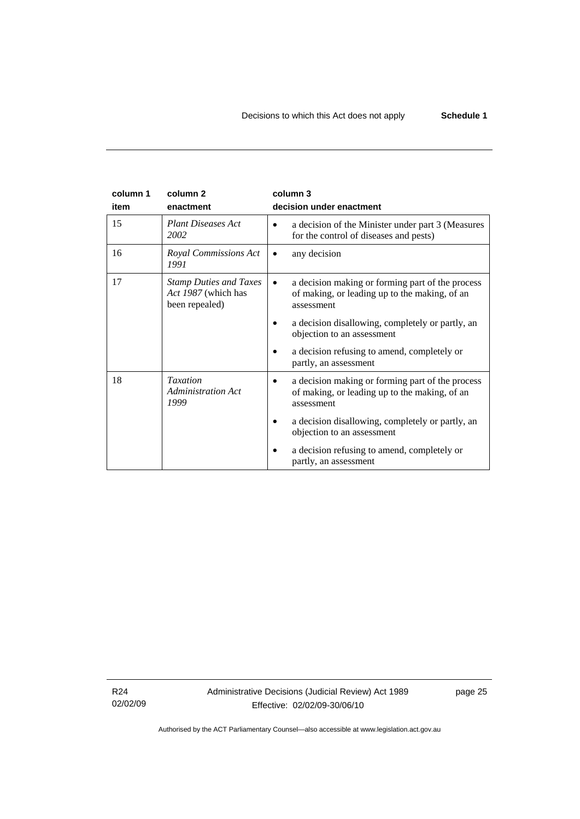| column 1 | column <sub>2</sub>                                                    | column 3                                                                                                        |
|----------|------------------------------------------------------------------------|-----------------------------------------------------------------------------------------------------------------|
| item     | enactment                                                              | decision under enactment                                                                                        |
| 15       | <b>Plant Diseases Act</b><br>2002                                      | a decision of the Minister under part 3 (Measures<br>for the control of diseases and pests)                     |
| 16       | Royal Commissions Act<br>1991                                          | any decision                                                                                                    |
| 17       | <b>Stamp Duties and Taxes</b><br>Act 1987 (which has<br>been repealed) | a decision making or forming part of the process<br>of making, or leading up to the making, of an<br>assessment |
|          |                                                                        | a decision disallowing, completely or partly, an<br>objection to an assessment                                  |
|          |                                                                        | a decision refusing to amend, completely or<br>partly, an assessment                                            |
| 18       | <b>Taxation</b><br>Administration Act<br>1999                          | a decision making or forming part of the process<br>of making, or leading up to the making, of an<br>assessment |
|          |                                                                        | a decision disallowing, completely or partly, an<br>objection to an assessment                                  |
|          |                                                                        | a decision refusing to amend, completely or<br>partly, an assessment                                            |

R24 02/02/09 Administrative Decisions (Judicial Review) Act 1989 Effective: 02/02/09-30/06/10

page 25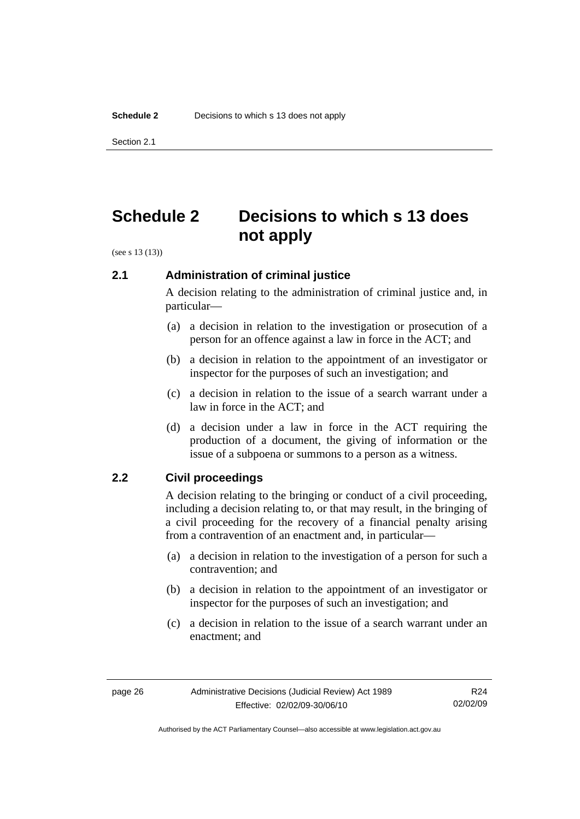<span id="page-29-0"></span>Section 2.1

# **Schedule 2 Decisions to which s 13 does not apply**

(see s 13 (13))

## **2.1 Administration of criminal justice**

A decision relating to the administration of criminal justice and, in particular—

- (a) a decision in relation to the investigation or prosecution of a person for an offence against a law in force in the ACT; and
- (b) a decision in relation to the appointment of an investigator or inspector for the purposes of such an investigation; and
- (c) a decision in relation to the issue of a search warrant under a law in force in the ACT; and
- (d) a decision under a law in force in the ACT requiring the production of a document, the giving of information or the issue of a subpoena or summons to a person as a witness.

## **2.2 Civil proceedings**

A decision relating to the bringing or conduct of a civil proceeding, including a decision relating to, or that may result, in the bringing of a civil proceeding for the recovery of a financial penalty arising from a contravention of an enactment and, in particular—

- (a) a decision in relation to the investigation of a person for such a contravention; and
- (b) a decision in relation to the appointment of an investigator or inspector for the purposes of such an investigation; and
- (c) a decision in relation to the issue of a search warrant under an enactment; and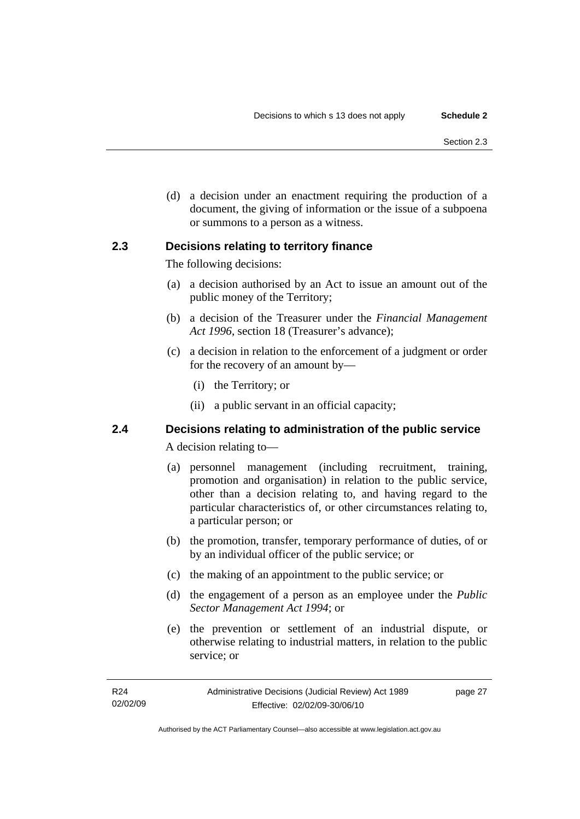<span id="page-30-0"></span> (d) a decision under an enactment requiring the production of a document, the giving of information or the issue of a subpoena or summons to a person as a witness.

## **2.3 Decisions relating to territory finance**

The following decisions:

- (a) a decision authorised by an Act to issue an amount out of the public money of the Territory;
- (b) a decision of the Treasurer under the *Financial Management Act 1996*, section 18 (Treasurer's advance);
- (c) a decision in relation to the enforcement of a judgment or order for the recovery of an amount by—
	- (i) the Territory; or
	- (ii) a public servant in an official capacity;

# **2.4 Decisions relating to administration of the public service**

A decision relating to—

- (a) personnel management (including recruitment, training, promotion and organisation) in relation to the public service, other than a decision relating to, and having regard to the particular characteristics of, or other circumstances relating to, a particular person; or
- (b) the promotion, transfer, temporary performance of duties, of or by an individual officer of the public service; or
- (c) the making of an appointment to the public service; or
- (d) the engagement of a person as an employee under the *Public Sector Management Act 1994*; or
- (e) the prevention or settlement of an industrial dispute, or otherwise relating to industrial matters, in relation to the public service; or

Authorised by the ACT Parliamentary Counsel—also accessible at www.legislation.act.gov.au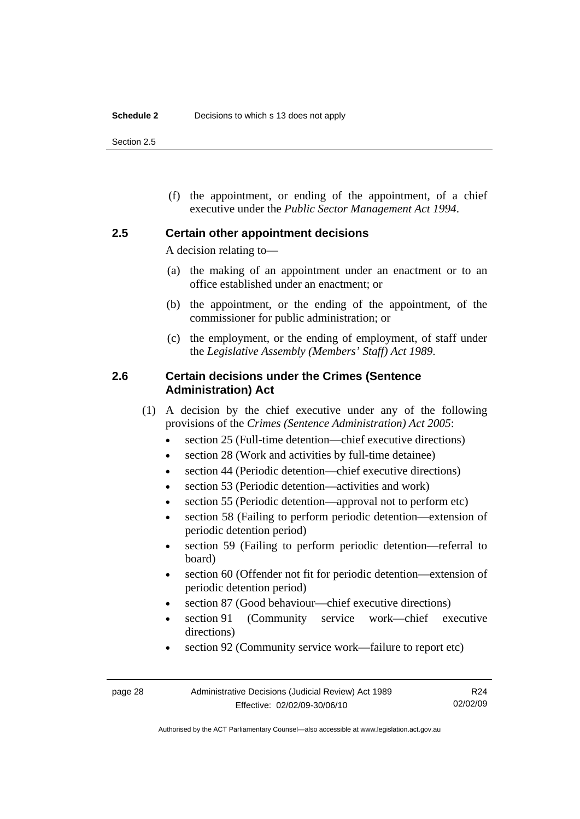<span id="page-31-0"></span>Section 2.5

 (f) the appointment, or ending of the appointment, of a chief executive under the *Public Sector Management Act 1994*.

### **2.5 Certain other appointment decisions**

A decision relating to—

- (a) the making of an appointment under an enactment or to an office established under an enactment; or
- (b) the appointment, or the ending of the appointment, of the commissioner for public administration; or
- (c) the employment, or the ending of employment, of staff under the *Legislative Assembly (Members' Staff) Act 1989*.

## **2.6 Certain decisions under the Crimes (Sentence Administration) Act**

- (1) A decision by the chief executive under any of the following provisions of the *Crimes (Sentence Administration) Act 2005*:
	- section 25 (Full-time detention—chief executive directions)
	- section 28 (Work and activities by full-time detainee)
	- section 44 (Periodic detention—chief executive directions)
	- section 53 (Periodic detention—activities and work)
	- section 55 (Periodic detention—approval not to perform etc)
	- section 58 (Failing to perform periodic detention—extension of periodic detention period)
	- section 59 (Failing to perform periodic detention—referral to board)
	- section 60 (Offender not fit for periodic detention—extension of periodic detention period)
	- section 87 (Good behaviour—chief executive directions)
	- section 91 (Community service work—chief executive directions)
	- section 92 (Community service work—failure to report etc)

Authorised by the ACT Parliamentary Counsel—also accessible at www.legislation.act.gov.au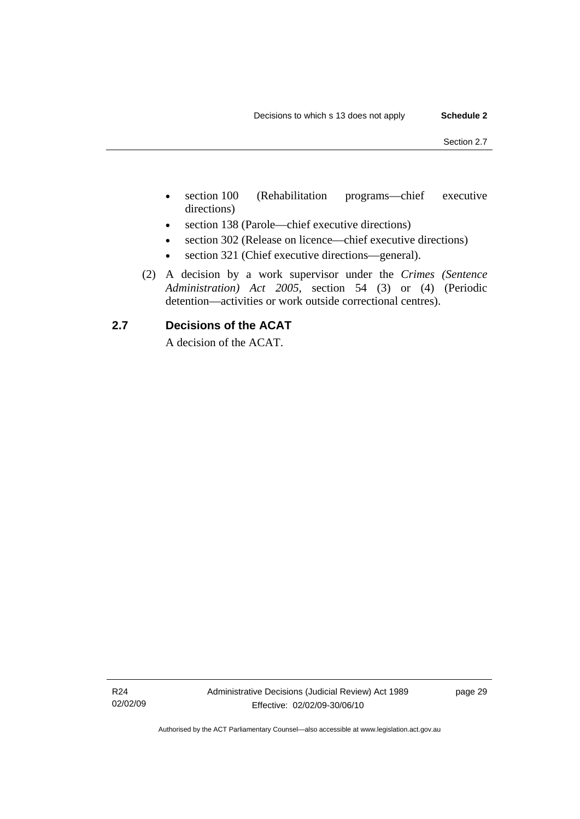- <span id="page-32-0"></span>• section 100 (Rehabilitation programs—chief executive directions)
- section 138 (Parole—chief executive directions)
- section 302 (Release on licence—chief executive directions)
- section 321 (Chief executive directions—general).
- (2) A decision by a work supervisor under the *Crimes (Sentence Administration) Act 2005*, section 54 (3) or (4) (Periodic detention—activities or work outside correctional centres).

## **2.7 Decisions of the ACAT**

A decision of the ACAT.

R24 02/02/09 page 29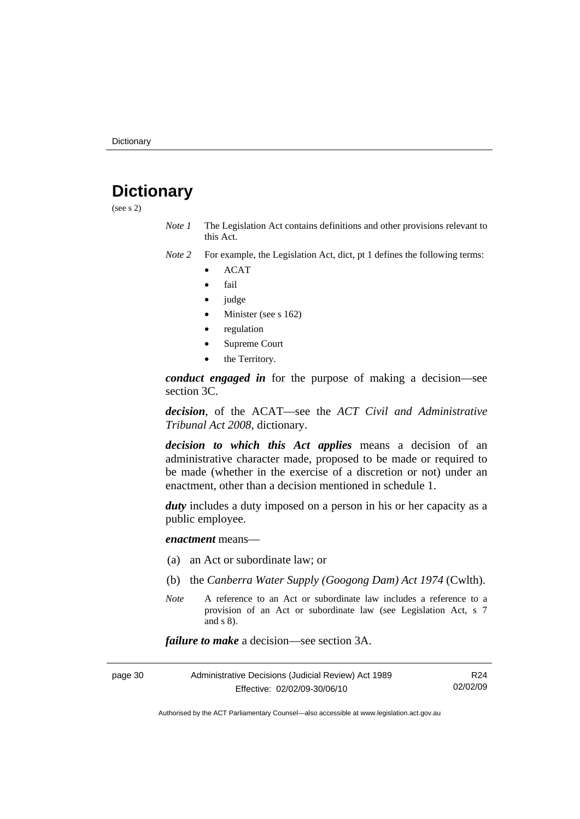# <span id="page-33-0"></span>**Dictionary**

(see s 2)

- *Note 1* The Legislation Act contains definitions and other provisions relevant to this Act.
- *Note 2* For example, the Legislation Act, dict, pt 1 defines the following terms:
	- ACAT
	- fail
	- judge
	- Minister (see s 162)
	- regulation
	- Supreme Court
	- the Territory.

*conduct engaged in* for the purpose of making a decision—see section 3C.

*decision*, of the ACAT—see the *ACT Civil and Administrative Tribunal Act 2008*, dictionary.

*decision to which this Act applies* means a decision of an administrative character made, proposed to be made or required to be made (whether in the exercise of a discretion or not) under an enactment, other than a decision mentioned in schedule 1.

*duty* includes a duty imposed on a person in his or her capacity as a public employee.

*enactment* means—

- (a) an Act or subordinate law; or
- (b) the *Canberra Water Supply (Googong Dam) Act 1974* (Cwlth).
- *Note* A reference to an Act or subordinate law includes a reference to a provision of an Act or subordinate law (see Legislation Act, s 7 and s 8).

*failure to make* a decision—see section 3A.

| page 30 | Administrative Decisions (Judicial Review) Act 1989 | R24      |
|---------|-----------------------------------------------------|----------|
|         | Effective: 02/02/09-30/06/10                        | 02/02/09 |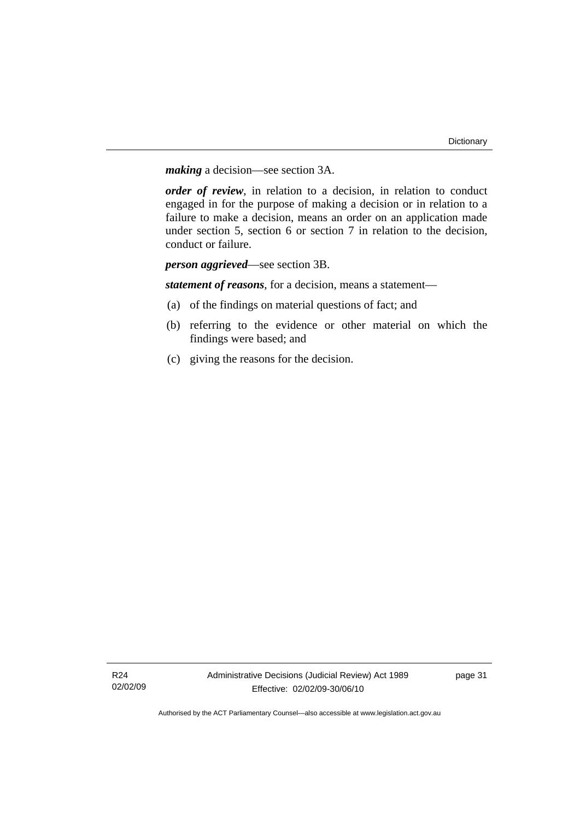*making* a decision—see section 3A.

*order of review*, in relation to a decision, in relation to conduct engaged in for the purpose of making a decision or in relation to a failure to make a decision, means an order on an application made under section 5, section 6 or section 7 in relation to the decision, conduct or failure.

*person aggrieved*—see section 3B.

*statement of reasons*, for a decision, means a statement—

- (a) of the findings on material questions of fact; and
- (b) referring to the evidence or other material on which the findings were based; and
- (c) giving the reasons for the decision.

page 31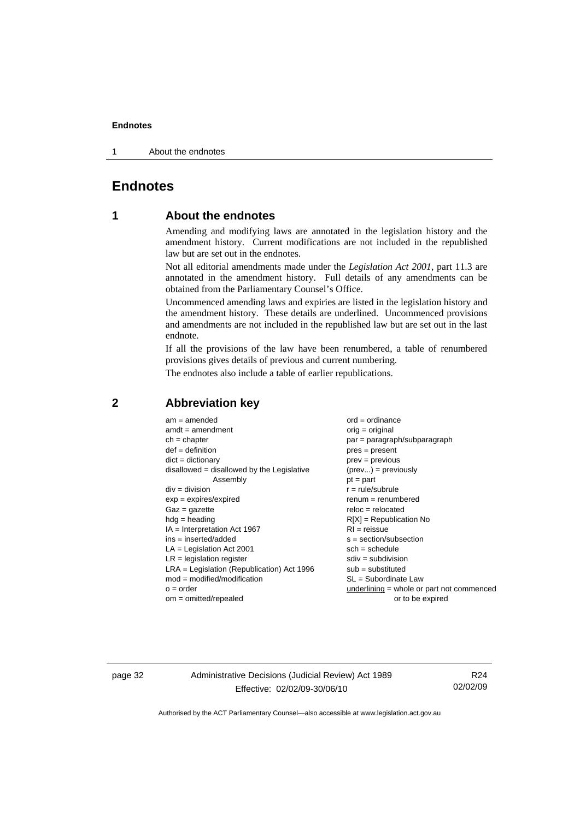<span id="page-35-0"></span>1 About the endnotes

# **Endnotes**

## **1 About the endnotes**

Amending and modifying laws are annotated in the legislation history and the amendment history. Current modifications are not included in the republished law but are set out in the endnotes.

Not all editorial amendments made under the *Legislation Act 2001*, part 11.3 are annotated in the amendment history. Full details of any amendments can be obtained from the Parliamentary Counsel's Office.

Uncommenced amending laws and expiries are listed in the legislation history and the amendment history. These details are underlined. Uncommenced provisions and amendments are not included in the republished law but are set out in the last endnote.

If all the provisions of the law have been renumbered, a table of renumbered provisions gives details of previous and current numbering.

The endnotes also include a table of earlier republications.

| $am = amended$                               | $ord = ordinance$                         |
|----------------------------------------------|-------------------------------------------|
| $amdt = amendment$                           | $orig = original$                         |
| $ch = chapter$                               | par = paragraph/subparagraph              |
| $def = definition$                           | $pres = present$                          |
| $dict = dictionary$                          | $prev = previous$                         |
| $disallowed = disallowed by the Legislative$ | $(\text{prev}) = \text{previously}$       |
| Assembly                                     | $pt = part$                               |
| $div = division$                             | $r = rule/subrule$                        |
| $exp = expires/expired$                      | $renum = renumbered$                      |
| $Gaz = gazette$                              | $reloc = relocated$                       |
| $h dq =$ heading                             | $R[X]$ = Republication No                 |
| $IA = Interpretation Act 1967$               | $RI = reissue$                            |
| $ins = inserted/added$                       | $s = section/subsection$                  |
| $LA =$ Legislation Act 2001                  | $sch = schedule$                          |
| $LR =$ legislation register                  | $sdiv = subdivision$                      |
| $LRA =$ Legislation (Republication) Act 1996 | $sub =$ substituted                       |
| $mod = modified/modification$                | $SL = Subordinate$ Law                    |
| $o = order$                                  | underlining = whole or part not commenced |
| $om = omitted/report$                        | or to be expired                          |
|                                              |                                           |

#### **2 Abbreviation key**

page 32 Administrative Decisions (Judicial Review) Act 1989 Effective: 02/02/09-30/06/10

R24 02/02/09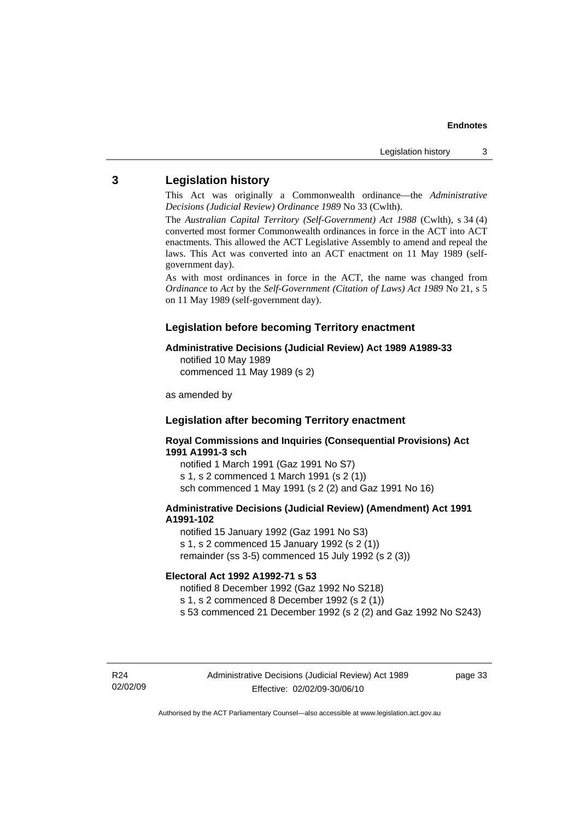## <span id="page-36-0"></span>**3 Legislation history**

This Act was originally a Commonwealth ordinance—the *Administrative Decisions (Judicial Review) Ordinance 1989* No 33 (Cwlth).

The *Australian Capital Territory (Self-Government) Act 1988* (Cwlth), s 34 (4) converted most former Commonwealth ordinances in force in the ACT into ACT enactments. This allowed the ACT Legislative Assembly to amend and repeal the laws. This Act was converted into an ACT enactment on 11 May 1989 (selfgovernment day).

As with most ordinances in force in the ACT, the name was changed from *Ordinance* to *Act* by the *Self-Government (Citation of Laws) Act 1989* No 21, s 5 on 11 May 1989 (self-government day).

### **Legislation before becoming Territory enactment**

#### **Administrative Decisions (Judicial Review) Act 1989 A1989-33**

notified 10 May 1989 commenced 11 May 1989 (s 2)

as amended by

## **Legislation after becoming Territory enactment**

**Royal Commissions and Inquiries (Consequential Provisions) Act 1991 A1991-3 sch** 

notified 1 March 1991 (Gaz 1991 No S7) s 1, s 2 commenced 1 March 1991 (s 2 (1)) sch commenced 1 May 1991 (s 2 (2) and Gaz 1991 No 16)

#### **Administrative Decisions (Judicial Review) (Amendment) Act 1991 A1991-102**

notified 15 January 1992 (Gaz 1991 No S3) s 1, s 2 commenced 15 January 1992 (s 2 (1)) remainder (ss 3-5) commenced 15 July 1992 (s 2 (3))

#### **Electoral Act 1992 A1992-71 s 53**

notified 8 December 1992 (Gaz 1992 No S218)

s 1, s 2 commenced 8 December 1992 (s 2 (1))

s 53 commenced 21 December 1992 (s 2 (2) and Gaz 1992 No S243)

R24 02/02/09 page 33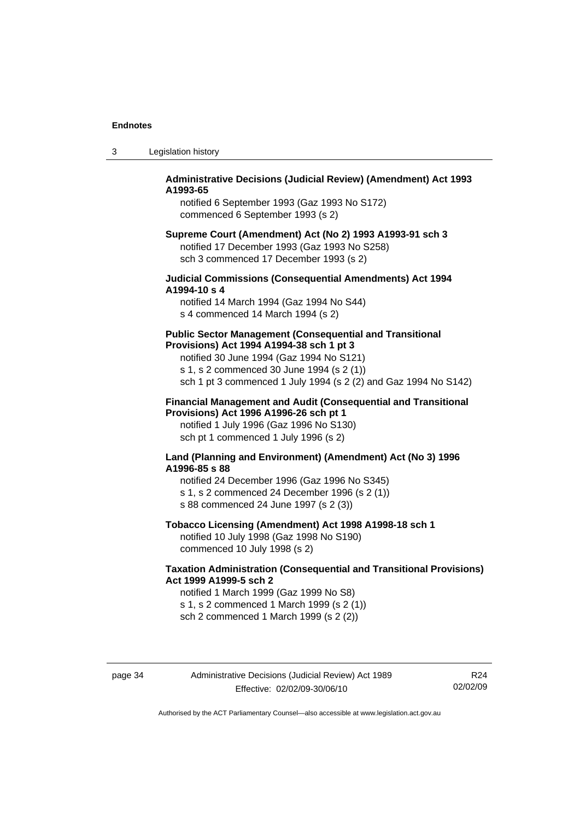| Legislation history | -3 |  |  |
|---------------------|----|--|--|
|---------------------|----|--|--|

### **Administrative Decisions (Judicial Review) (Amendment) Act 1993 A1993-65**

notified 6 September 1993 (Gaz 1993 No S172) commenced 6 September 1993 (s 2)

#### **Supreme Court (Amendment) Act (No 2) 1993 A1993-91 sch 3**  notified 17 December 1993 (Gaz 1993 No S258) sch 3 commenced 17 December 1993 (s 2)

### **Judicial Commissions (Consequential Amendments) Act 1994 A1994-10 s 4**

notified 14 March 1994 (Gaz 1994 No S44) s 4 commenced 14 March 1994 (s 2)

#### **Public Sector Management (Consequential and Transitional Provisions) Act 1994 A1994-38 sch 1 pt 3**

notified 30 June 1994 (Gaz 1994 No S121) s 1, s 2 commenced 30 June 1994 (s 2 (1)) sch 1 pt 3 commenced 1 July 1994 (s 2 (2) and Gaz 1994 No S142)

#### **Financial Management and Audit (Consequential and Transitional Provisions) Act 1996 A1996-26 sch pt 1**

notified 1 July 1996 (Gaz 1996 No S130) sch pt 1 commenced 1 July 1996 (s 2)

#### **Land (Planning and Environment) (Amendment) Act (No 3) 1996 A1996-85 s 88**

notified 24 December 1996 (Gaz 1996 No S345) s 1, s 2 commenced 24 December 1996 (s 2 (1)) s 88 commenced 24 June 1997 (s 2 (3))

## **Tobacco Licensing (Amendment) Act 1998 A1998-18 sch 1**

notified 10 July 1998 (Gaz 1998 No S190) commenced 10 July 1998 (s 2)

### **Taxation Administration (Consequential and Transitional Provisions) Act 1999 A1999-5 sch 2**

notified 1 March 1999 (Gaz 1999 No S8) s 1, s 2 commenced 1 March 1999 (s 2 (1)) sch 2 commenced 1 March 1999 (s 2 (2))

page 34 Administrative Decisions (Judicial Review) Act 1989 Effective: 02/02/09-30/06/10

R24 02/02/09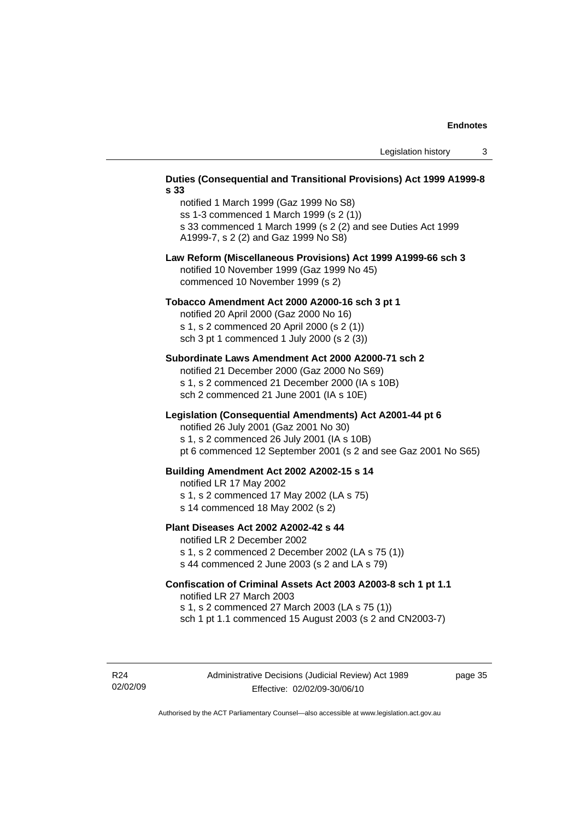#### **Duties (Consequential and Transitional Provisions) Act 1999 A1999-8 s 33**

notified 1 March 1999 (Gaz 1999 No S8) ss 1-3 commenced 1 March 1999 (s 2 (1)) s 33 commenced 1 March 1999 (s 2 (2) and see Duties Act 1999 A1999-7, s 2 (2) and Gaz 1999 No S8)

#### **Law Reform (Miscellaneous Provisions) Act 1999 A1999-66 sch 3**  notified 10 November 1999 (Gaz 1999 No 45) commenced 10 November 1999 (s 2)

#### **Tobacco Amendment Act 2000 A2000-16 sch 3 pt 1**

notified 20 April 2000 (Gaz 2000 No 16) s 1, s 2 commenced 20 April 2000 (s 2 (1)) sch 3 pt 1 commenced 1 July 2000 (s 2 (3))

#### **Subordinate Laws Amendment Act 2000 A2000-71 sch 2**

notified 21 December 2000 (Gaz 2000 No S69) s 1, s 2 commenced 21 December 2000 (IA s 10B) sch 2 commenced 21 June 2001 (IA s 10E)

#### **Legislation (Consequential Amendments) Act A2001-44 pt 6**

notified 26 July 2001 (Gaz 2001 No 30)

s 1, s 2 commenced 26 July 2001 (IA s 10B)

pt 6 commenced 12 September 2001 (s 2 and see Gaz 2001 No S65)

#### **Building Amendment Act 2002 A2002-15 s 14**

notified LR 17 May 2002

- s 1, s 2 commenced 17 May 2002 (LA s 75)
- s 14 commenced 18 May 2002 (s 2)

#### **Plant Diseases Act 2002 A2002-42 s 44**

notified LR 2 December 2002

s 1, s 2 commenced 2 December 2002 (LA s 75 (1)) s 44 commenced 2 June 2003 (s 2 and LA s 79)

## **Confiscation of Criminal Assets Act 2003 A2003-8 sch 1 pt 1.1**  notified LR 27 March 2003 s 1, s 2 commenced 27 March 2003 (LA s 75 (1))

sch 1 pt 1.1 commenced 15 August 2003 (s 2 and CN2003-7)

R24 02/02/09 page 35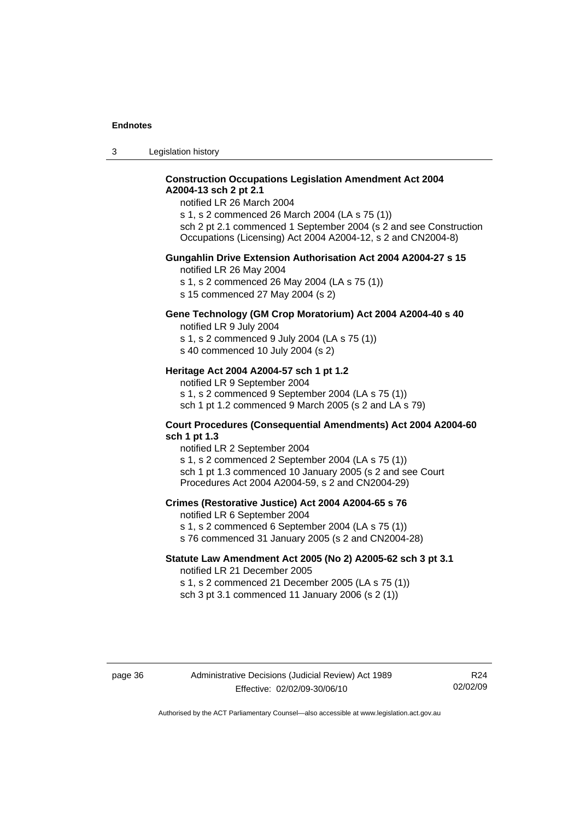3 Legislation history

### **Construction Occupations Legislation Amendment Act 2004 A2004-13 sch 2 pt 2.1**

notified LR 26 March 2004

s 1, s 2 commenced 26 March 2004 (LA s 75 (1)) sch 2 pt 2.1 commenced 1 September 2004 (s 2 and see Construction Occupations (Licensing) Act 2004 A2004-12, s 2 and CN2004-8)

#### **Gungahlin Drive Extension Authorisation Act 2004 A2004-27 s 15**

notified LR 26 May 2004

s 1, s 2 commenced 26 May 2004 (LA s 75 (1))

s 15 commenced 27 May 2004 (s 2)

## **Gene Technology (GM Crop Moratorium) Act 2004 A2004-40 s 40**

notified LR 9 July 2004

s 1, s 2 commenced 9 July 2004 (LA s 75 (1)) s 40 commenced 10 July 2004 (s 2)

#### **Heritage Act 2004 A2004-57 sch 1 pt 1.2**

notified LR 9 September 2004 s 1, s 2 commenced 9 September 2004 (LA s 75 (1)) sch 1 pt 1.2 commenced 9 March 2005 (s 2 and LA s 79)

#### **Court Procedures (Consequential Amendments) Act 2004 A2004-60 sch 1 pt 1.3**

notified LR 2 September 2004 s 1, s 2 commenced 2 September 2004 (LA s 75 (1)) sch 1 pt 1.3 commenced 10 January 2005 (s 2 and see Court Procedures Act 2004 A2004-59, s 2 and CN2004-29)

#### **Crimes (Restorative Justice) Act 2004 A2004-65 s 76**

notified LR 6 September 2004

- s 1, s 2 commenced 6 September 2004 (LA s 75 (1))
- s 76 commenced 31 January 2005 (s 2 and CN2004-28)

### **Statute Law Amendment Act 2005 (No 2) A2005-62 sch 3 pt 3.1**

notified LR 21 December 2005 s 1, s 2 commenced 21 December 2005 (LA s 75 (1)) sch 3 pt 3.1 commenced 11 January 2006 (s 2 (1))

R24 02/02/09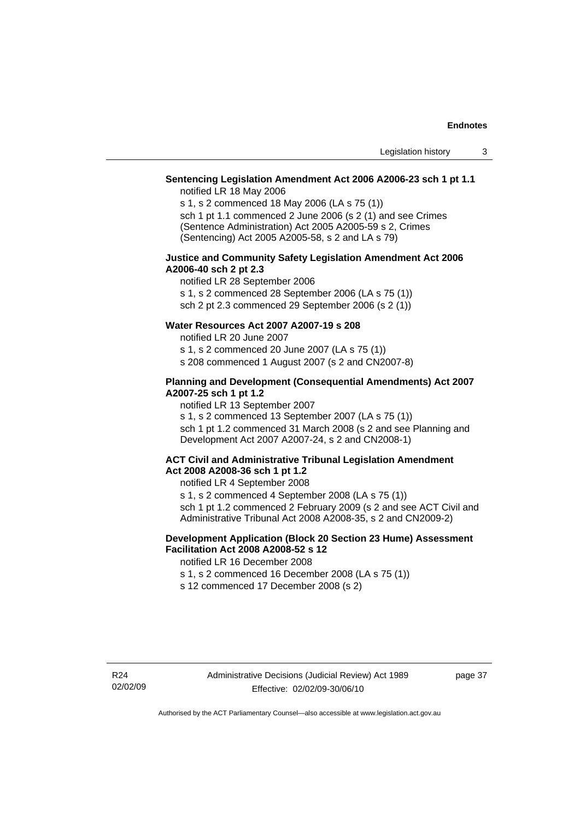## **Sentencing Legislation Amendment Act 2006 A2006-23 sch 1 pt 1.1**

notified LR 18 May 2006

s 1, s 2 commenced 18 May 2006 (LA s 75 (1)) sch 1 pt 1.1 commenced 2 June 2006 (s 2 (1) and see Crimes (Sentence Administration) Act 2005 A2005-59 s 2, Crimes (Sentencing) Act 2005 A2005-58, s 2 and LA s 79)

#### **Justice and Community Safety Legislation Amendment Act 2006 A2006-40 sch 2 pt 2.3**

notified LR 28 September 2006 s 1, s 2 commenced 28 September 2006 (LA s 75 (1)) sch 2 pt 2.3 commenced 29 September 2006 (s 2 (1))

## **Water Resources Act 2007 A2007-19 s 208**

notified LR 20 June 2007

s 1, s 2 commenced 20 June 2007 (LA s 75 (1))

s 208 commenced 1 August 2007 (s 2 and CN2007-8)

#### **Planning and Development (Consequential Amendments) Act 2007 A2007-25 sch 1 pt 1.2**

notified LR 13 September 2007

s 1, s 2 commenced 13 September 2007 (LA s 75 (1)) sch 1 pt 1.2 commenced 31 March 2008 (s 2 and see Planning and Development Act 2007 A2007-24, s 2 and CN2008-1)

#### **ACT Civil and Administrative Tribunal Legislation Amendment Act 2008 A2008-36 sch 1 pt 1.2**

notified LR 4 September 2008

s 1, s 2 commenced 4 September 2008 (LA s 75 (1)) sch 1 pt 1.2 commenced 2 February 2009 (s 2 and see ACT Civil and Administrative Tribunal Act 2008 A2008-35, s 2 and CN2009-2)

#### **Development Application (Block 20 Section 23 Hume) Assessment Facilitation Act 2008 A2008-52 s 12**

notified LR 16 December 2008

s 1, s 2 commenced 16 December 2008 (LA s 75 (1))

s 12 commenced 17 December 2008 (s 2)

page 37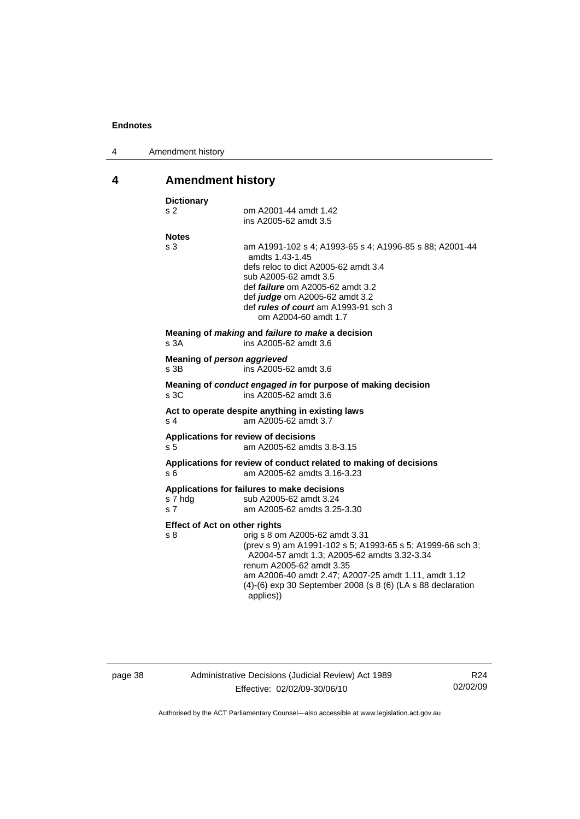<span id="page-41-0"></span>

| 4 | Amendment history |
|---|-------------------|
|---|-------------------|

# **4 Amendment history**

| s <sub>2</sub><br>om A2001-44 amdt 1.42<br>ins A2005-62 amdt 3.5<br><b>Notes</b><br>s <sub>3</sub><br>am A1991-102 s 4; A1993-65 s 4; A1996-85 s 88; A2001-44<br>amdts 1.43-1.45<br>defs reloc to dict A2005-62 amdt 3.4<br>sub A2005-62 amdt 3.5<br>def <i>failure</i> om A2005-62 amdt 3.2<br>def judge om A2005-62 amdt 3.2<br>def <i>rules of court</i> am A1993-91 sch 3<br>om A2004-60 amdt 1.7<br>Meaning of <i>making</i> and <i>failure to make</i> a decision<br>s <sub>3A</sub><br>ins A2005-62 amdt 3.6<br>Meaning of person aggrieved<br>s <sub>3B</sub><br>ins A2005-62 amdt 3.6<br>Meaning of conduct engaged in for purpose of making decision<br>s <sub>3C</sub><br>ins A2005-62 amdt 3.6<br>Act to operate despite anything in existing laws<br>am A2005-62 amdt 3.7<br>s <sub>4</sub><br>Applications for review of decisions<br>s <sub>5</sub><br>am A2005-62 amdts 3.8-3.15<br>Applications for review of conduct related to making of decisions<br>am A2005-62 amdts 3.16-3.23<br>s 6<br>Applications for failures to make decisions<br>s 7 hdg<br>sub A2005-62 amdt 3.24<br>s <sub>7</sub><br>am A2005-62 amdts 3.25-3.30<br><b>Effect of Act on other rights</b><br>s 8<br>orig s 8 om A2005-62 amdt 3.31 |  |
|-----------------------------------------------------------------------------------------------------------------------------------------------------------------------------------------------------------------------------------------------------------------------------------------------------------------------------------------------------------------------------------------------------------------------------------------------------------------------------------------------------------------------------------------------------------------------------------------------------------------------------------------------------------------------------------------------------------------------------------------------------------------------------------------------------------------------------------------------------------------------------------------------------------------------------------------------------------------------------------------------------------------------------------------------------------------------------------------------------------------------------------------------------------------------------------------------------------------------------------|--|
|                                                                                                                                                                                                                                                                                                                                                                                                                                                                                                                                                                                                                                                                                                                                                                                                                                                                                                                                                                                                                                                                                                                                                                                                                                   |  |
|                                                                                                                                                                                                                                                                                                                                                                                                                                                                                                                                                                                                                                                                                                                                                                                                                                                                                                                                                                                                                                                                                                                                                                                                                                   |  |
|                                                                                                                                                                                                                                                                                                                                                                                                                                                                                                                                                                                                                                                                                                                                                                                                                                                                                                                                                                                                                                                                                                                                                                                                                                   |  |
|                                                                                                                                                                                                                                                                                                                                                                                                                                                                                                                                                                                                                                                                                                                                                                                                                                                                                                                                                                                                                                                                                                                                                                                                                                   |  |
|                                                                                                                                                                                                                                                                                                                                                                                                                                                                                                                                                                                                                                                                                                                                                                                                                                                                                                                                                                                                                                                                                                                                                                                                                                   |  |
|                                                                                                                                                                                                                                                                                                                                                                                                                                                                                                                                                                                                                                                                                                                                                                                                                                                                                                                                                                                                                                                                                                                                                                                                                                   |  |
|                                                                                                                                                                                                                                                                                                                                                                                                                                                                                                                                                                                                                                                                                                                                                                                                                                                                                                                                                                                                                                                                                                                                                                                                                                   |  |
|                                                                                                                                                                                                                                                                                                                                                                                                                                                                                                                                                                                                                                                                                                                                                                                                                                                                                                                                                                                                                                                                                                                                                                                                                                   |  |
|                                                                                                                                                                                                                                                                                                                                                                                                                                                                                                                                                                                                                                                                                                                                                                                                                                                                                                                                                                                                                                                                                                                                                                                                                                   |  |
|                                                                                                                                                                                                                                                                                                                                                                                                                                                                                                                                                                                                                                                                                                                                                                                                                                                                                                                                                                                                                                                                                                                                                                                                                                   |  |
|                                                                                                                                                                                                                                                                                                                                                                                                                                                                                                                                                                                                                                                                                                                                                                                                                                                                                                                                                                                                                                                                                                                                                                                                                                   |  |
| (prev s 9) am A1991-102 s 5; A1993-65 s 5; A1999-66 sch 3;<br>A2004-57 amdt 1.3; A2005-62 amdts 3.32-3.34<br>renum A2005-62 amdt 3.35<br>am A2006-40 amdt 2.47; A2007-25 amdt 1.11, amdt 1.12<br>(4)-(6) exp 30 September 2008 (s 8 (6) (LA s 88 declaration<br>applies))                                                                                                                                                                                                                                                                                                                                                                                                                                                                                                                                                                                                                                                                                                                                                                                                                                                                                                                                                         |  |

page 38 Administrative Decisions (Judicial Review) Act 1989 Effective: 02/02/09-30/06/10

R24 02/02/09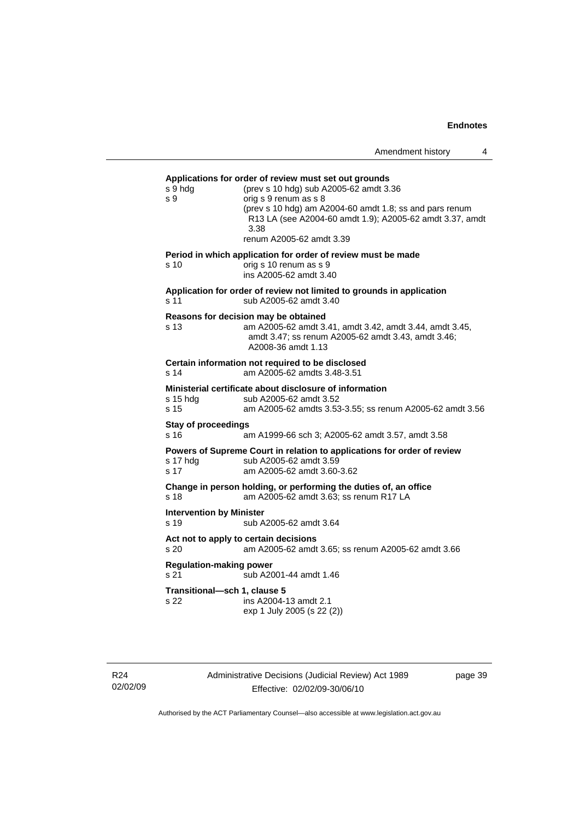| Amendment history |  |
|-------------------|--|
|-------------------|--|

|                                                                                         | s 9 hdg<br>s 9                                                                                                                | Applications for order of review must set out grounds<br>(prev s 10 hdg) sub A2005-62 amdt 3.36<br>orig s 9 renum as s 8<br>(prev s 10 hdg) am A2004-60 amdt 1.8; ss and pars renum<br>R13 LA (see A2004-60 amdt 1.9); A2005-62 amdt 3.37, amdt<br>3.38<br>renum A2005-62 amdt 3.39 |  |
|-----------------------------------------------------------------------------------------|-------------------------------------------------------------------------------------------------------------------------------|-------------------------------------------------------------------------------------------------------------------------------------------------------------------------------------------------------------------------------------------------------------------------------------|--|
|                                                                                         | s 10                                                                                                                          | Period in which application for order of review must be made<br>orig s 10 renum as s 9<br>ins A2005-62 amdt 3.40                                                                                                                                                                    |  |
|                                                                                         | s 11                                                                                                                          | Application for order of review not limited to grounds in application<br>sub A2005-62 amdt 3.40                                                                                                                                                                                     |  |
|                                                                                         | s 13                                                                                                                          | Reasons for decision may be obtained<br>am A2005-62 amdt 3.41, amdt 3.42, amdt 3.44, amdt 3.45,<br>amdt 3.47; ss renum A2005-62 amdt 3.43, amdt 3.46;<br>A2008-36 amdt 1.13                                                                                                         |  |
| Certain information not required to be disclosed<br>am A2005-62 amdts 3.48-3.51<br>s 14 |                                                                                                                               |                                                                                                                                                                                                                                                                                     |  |
|                                                                                         | s 15 hda<br>s 15                                                                                                              | Ministerial certificate about disclosure of information<br>sub A2005-62 amdt 3.52<br>am A2005-62 amdts 3.53-3.55; ss renum A2005-62 amdt 3.56                                                                                                                                       |  |
|                                                                                         | <b>Stay of proceedings</b><br>s 16                                                                                            | am A1999-66 sch 3; A2005-62 amdt 3.57, amdt 3.58                                                                                                                                                                                                                                    |  |
|                                                                                         | s 17 hdg<br>s 17                                                                                                              | Powers of Supreme Court in relation to applications for order of review<br>sub A2005-62 amdt 3.59<br>am A2005-62 amdt 3.60-3.62                                                                                                                                                     |  |
|                                                                                         | Change in person holding, or performing the duties of, an office<br>s <sub>18</sub><br>am A2005-62 amdt 3.63; ss renum R17 LA |                                                                                                                                                                                                                                                                                     |  |
|                                                                                         | <b>Intervention by Minister</b><br>s <sub>19</sub>                                                                            | sub A2005-62 amdt 3.64                                                                                                                                                                                                                                                              |  |
|                                                                                         | s <sub>20</sub>                                                                                                               | Act not to apply to certain decisions<br>am A2005-62 amdt 3.65; ss renum A2005-62 amdt 3.66                                                                                                                                                                                         |  |
| <b>Regulation-making power</b><br>s 21<br>sub A2001-44 amdt 1.46                        |                                                                                                                               |                                                                                                                                                                                                                                                                                     |  |
|                                                                                         | Transitional-sch 1, clause 5<br>s 22                                                                                          | ins A2004-13 amdt 2.1<br>exp 1 July 2005 (s 22 (2))                                                                                                                                                                                                                                 |  |
|                                                                                         |                                                                                                                               |                                                                                                                                                                                                                                                                                     |  |

Administrative Decisions (Judicial Review) Act 1989 Effective: 02/02/09-30/06/10

page 39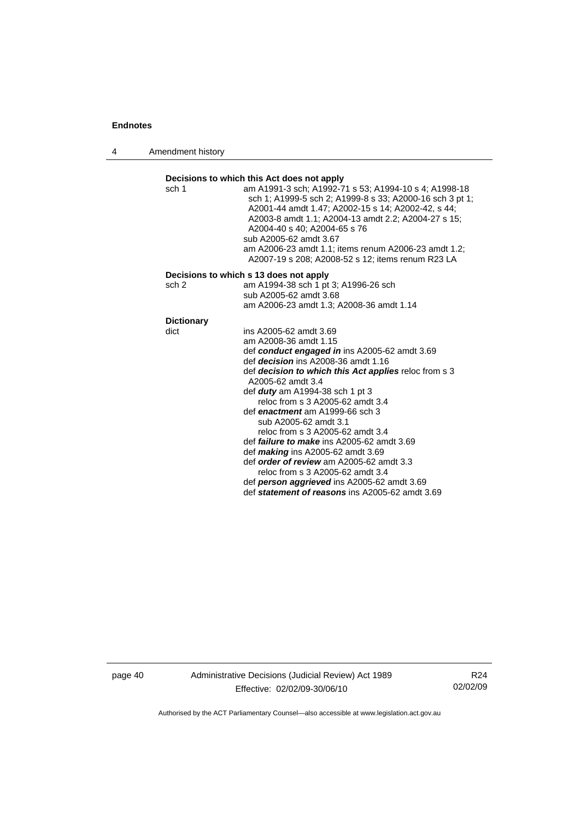4 Amendment history



page 40 Administrative Decisions (Judicial Review) Act 1989 Effective: 02/02/09-30/06/10

R24 02/02/09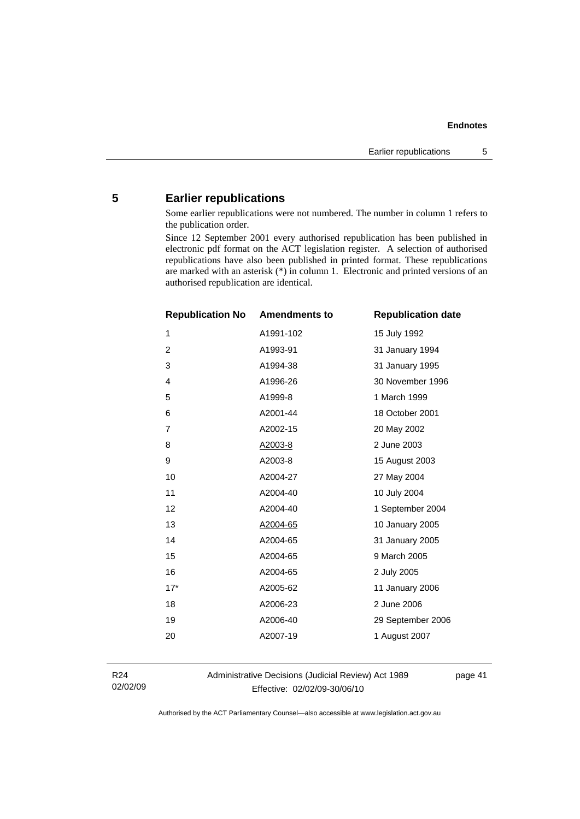# <span id="page-44-0"></span>**5 Earlier republications**

Some earlier republications were not numbered. The number in column 1 refers to the publication order.

Since 12 September 2001 every authorised republication has been published in electronic pdf format on the ACT legislation register. A selection of authorised republications have also been published in printed format. These republications are marked with an asterisk (\*) in column 1. Electronic and printed versions of an authorised republication are identical.

| <b>Republication No</b> | <b>Amendments to</b> | <b>Republication date</b> |
|-------------------------|----------------------|---------------------------|
| $\mathbf{1}$            | A1991-102            | 15 July 1992              |
| $\overline{2}$          | A1993-91             | 31 January 1994           |
| 3                       | A1994-38             | 31 January 1995           |
| 4                       | A1996-26             | 30 November 1996          |
| 5                       | A1999-8              | 1 March 1999              |
| 6                       | A2001-44             | 18 October 2001           |
| $\overline{7}$          | A2002-15             | 20 May 2002               |
| 8                       | A2003-8              | 2 June 2003               |
| 9                       | A2003-8              | 15 August 2003            |
| 10                      | A2004-27             | 27 May 2004               |
| 11                      | A2004-40             | 10 July 2004              |
| 12                      | A2004-40             | 1 September 2004          |
| 13                      | A2004-65             | 10 January 2005           |
| 14                      | A2004-65             | 31 January 2005           |
| 15                      | A2004-65             | 9 March 2005              |
| 16                      | A2004-65             | 2 July 2005               |
| $17*$                   | A2005-62             | 11 January 2006           |
| 18                      | A2006-23             | 2 June 2006               |
| 19                      | A2006-40             | 29 September 2006         |
| 20                      | A2007-19             | 1 August 2007             |
|                         |                      |                           |

R24 02/02/09 Administrative Decisions (Judicial Review) Act 1989 Effective: 02/02/09-30/06/10

page 41